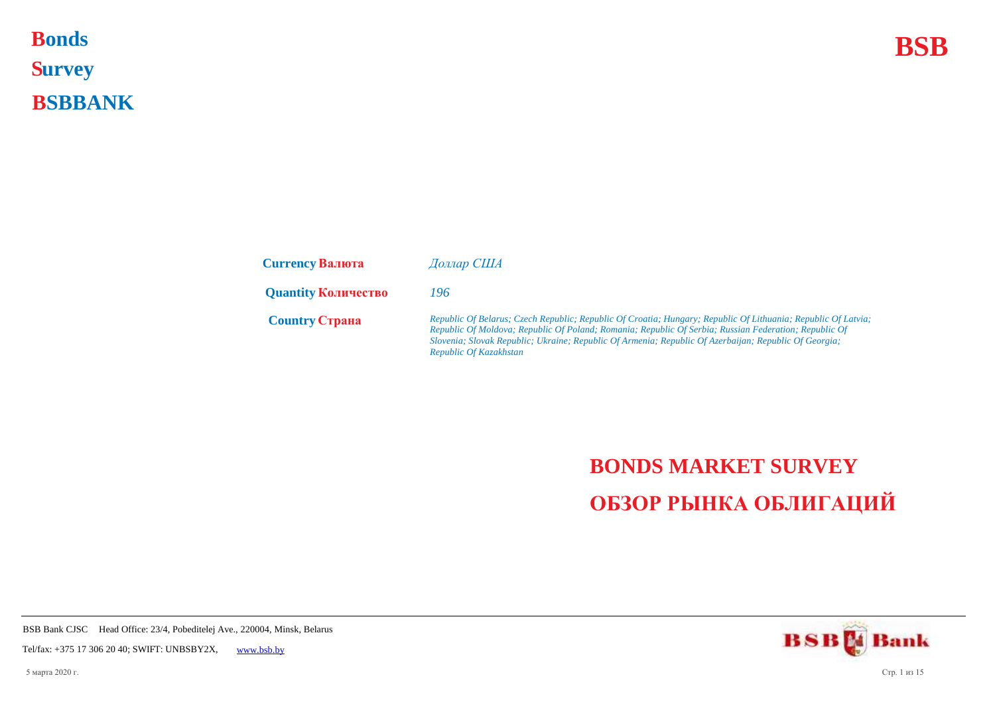## **Bonds BSB S urvey B SBBANK Bonds**

| <b>Currency Валюта</b>     | Доллар США                                                                                                                                                                                                                                                                                                                                                |
|----------------------------|-----------------------------------------------------------------------------------------------------------------------------------------------------------------------------------------------------------------------------------------------------------------------------------------------------------------------------------------------------------|
| <b>Quantity Количество</b> | 196                                                                                                                                                                                                                                                                                                                                                       |
| <b>Country Crpaha</b>      | Republic Of Belarus; Czech Republic; Republic Of Croatia; Hungary; Republic Of Lithuania; Republic Of Latvia;<br>Republic Of Moldova; Republic Of Poland; Romania; Republic Of Serbia; Russian Federation; Republic Of<br>Slovenia; Slovak Republic; Ukraine; Republic Of Armenia; Republic Of Azerbaijan; Republic Of Georgia;<br>Republic Of Kazakhstan |

## **BONDS MARKET SURVEY ОБЗОР РЫНКА ОБЛИГАЦИЙ**

**BSBM** Bank

BSB Bank CJSC Head Office: 23/4, Pobeditelej Ave., 220004, Minsk, Belarus

Tel/fax: +375 17 306 20 40; SWIFT: UNBSBY2X, [www.bsb.by](https://www.bsb.by/)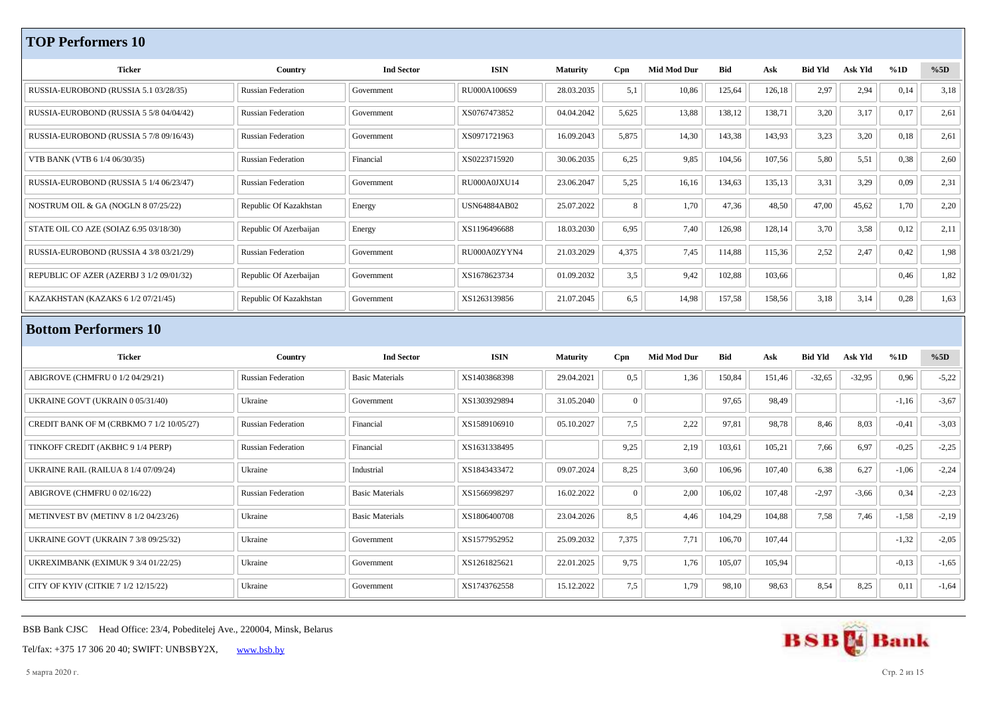## **TOP Performers 10**

| <b>Ticker</b>                               | Country                   | <b>Ind Sector</b>      | <b>ISIN</b>         | <b>Maturity</b> | Cpn            | <b>Mid Mod Dur</b> | Bid        | Ask    | <b>Bid Yld</b> | Ask Yld  | %1D     | %5D     |
|---------------------------------------------|---------------------------|------------------------|---------------------|-----------------|----------------|--------------------|------------|--------|----------------|----------|---------|---------|
| RUSSIA-EUROBOND (RUSSIA 5.1 03/28/35)       | <b>Russian Federation</b> | Government             | RU000A1006S9        | 28.03.2035      | 5,1            | 10,86              | 125,64     | 126,18 | 2,97           | 2,94     | 0,14    | 3,18    |
| RUSSIA-EUROBOND (RUSSIA 5 5/8 04/04/42)     | <b>Russian Federation</b> | Government             | XS0767473852        | 04.04.2042      | 5,625          | 13,88              | 138,12     | 138,71 | 3,20           | 3,17     | 0,17    | 2,61    |
| RUSSIA-EUROBOND (RUSSIA 5 7/8 09/16/43)     | <b>Russian Federation</b> | Government             | XS0971721963        | 16.09.2043      | 5,875          | 14,30              | 143,38     | 143,93 | 3,23           | 3,20     | 0,18    | 2,61    |
| VTB BANK (VTB 6 1/4 06/30/35)               | <b>Russian Federation</b> | Financial              | XS0223715920        | 30.06.2035      | 6,25           | 9,85               | 104,56     | 107,56 | 5,80           | 5,51     | 0,38    | 2,60    |
| RUSSIA-EUROBOND (RUSSIA 5 1/4 06/23/47)     | <b>Russian Federation</b> | Government             | RU000A0JXU14        | 23.06.2047      | 5,25           | 16,16              | 134,63     | 135,13 | 3,31           | 3,29     | 0,09    | 2,31    |
| NOSTRUM OIL & GA (NOGLN 8 07/25/22)         | Republic Of Kazakhstan    | Energy                 | <b>USN64884AB02</b> | 25.07.2022      | 8              | 1,70               | 47,36      | 48,50  | 47,00          | 45,62    | 1,70    | 2,20    |
| STATE OIL CO AZE (SOIAZ 6.95 03/18/30)      | Republic Of Azerbaijan    | Energy                 | XS1196496688        | 18.03.2030      | 6,95           | 7,40               | 126,98     | 128,14 | 3,70           | 3,58     | 0,12    | 2,11    |
| RUSSIA-EUROBOND (RUSSIA 4 3/8 03/21/29)     | <b>Russian Federation</b> | Government             | RU000A0ZYYN4        | 21.03.2029      | 4,375          | 7,45               | 114,88     | 115,36 | 2,52           | 2,47     | 0,42    | 1,98    |
| REPUBLIC OF AZER (AZERBJ 3 1/2 09/01/32)    | Republic Of Azerbaijan    | Government             | XS1678623734        | 01.09.2032      | 3,5            | 9,42               | 102,88     | 103,66 |                |          | 0,46    | 1,82    |
| KAZAKHSTAN (KAZAKS 6 1/2 07/21/45)          | Republic Of Kazakhstan    | Government             | XS1263139856        | 21.07.2045      | 6,5            | 14,98              | 157,58     | 158,56 | 3,18           | 3,14     | 0,28    | 1,63    |
| <b>Bottom Performers 10</b>                 |                           |                        |                     |                 |                |                    |            |        |                |          |         |         |
|                                             |                           |                        |                     |                 |                |                    |            |        |                |          |         |         |
| <b>Ticker</b>                               | Country                   | <b>Ind Sector</b>      | <b>ISIN</b>         | <b>Maturity</b> | Cpn            | <b>Mid Mod Dur</b> | <b>Bid</b> | Ask    | <b>Bid Yld</b> | Ask Yld  | %1D     | %5D     |
| ABIGROVE (CHMFRU 0 1/2 04/29/21)            | <b>Russian Federation</b> | <b>Basic Materials</b> | XS1403868398        | 29.04.2021      | 0.5            | 1,36               | 150,84     | 151,46 | $-32,65$       | $-32,95$ | 0,96    | $-5,22$ |
| UKRAINE GOVT (UKRAIN 0 05/31/40)            | Ukraine                   | Government             | XS1303929894        | 31.05.2040      | $\overline{0}$ |                    | 97,65      | 98,49  |                |          | $-1,16$ | $-3,67$ |
| CREDIT BANK OF M (CRBKMO 7 1/2 10/05/27)    | <b>Russian Federation</b> | Financial              | XS1589106910        | 05.10.2027      | 7,5            | 2,22               | 97,81      | 98,78  | 8,46           | 8,03     | $-0,41$ | $-3,03$ |
| TINKOFF CREDIT (AKBHC 9 1/4 PERP)           | <b>Russian Federation</b> | Financial              | XS1631338495        |                 | 9,25           | 2,19               | 103,61     | 105,21 | 7,66           | 6,97     | $-0,25$ | $-2,25$ |
| UKRAINE RAIL (RAILUA 8 1/4 07/09/24)        | Ukraine                   | Industrial             | XS1843433472        | 09.07.2024      | 8,25           | 3,60               | 106,96     | 107,40 | 6,38           | 6,27     | $-1,06$ | $-2,24$ |
| ABIGROVE (CHMFRU 0 02/16/22)                | <b>Russian Federation</b> | <b>Basic Materials</b> | XS1566998297        | 16.02.2022      | $\overline{0}$ | 2,00               | 106,02     | 107,48 | $-2,97$        | $-3,66$  | 0,34    | $-2,23$ |
| METINVEST BV (METINV 8 1/2 04/23/26)        | Ukraine                   | <b>Basic Materials</b> | XS1806400708        | 23.04.2026      | 8,5            | 4,46               | 104,29     | 104,88 | 7,58           | 7,46     | $-1,58$ | $-2,19$ |
| <b>UKRAINE GOVT (UKRAIN 7 3/8 09/25/32)</b> | Ukraine                   | Government             | XS1577952952        | 25.09.2032      | 7,375          | 7,71               | 106,70     | 107,44 |                |          | $-1,32$ | $-2,05$ |
| UKREXIMBANK (EXIMUK 9 3/4 01/22/25)         | Ukraine                   | Government             | XS1261825621        | 22.01.2025      | 9,75           | 1,76               | 105,07     | 105,94 |                |          | $-0,13$ | $-1,65$ |
| CITY OF KYIV (CITKIE 7 1/2 12/15/22)        | Ukraine                   | Government             | XS1743762558        | 15.12.2022      | 7.5            | 1,79               | 98,10      | 98,63  | 8,54           | 8,25     | 0,11    | $-1,64$ |

BSB Bank CJSC Head Office: 23/4, Pobeditelej Ave., 220004, Minsk, Belarus

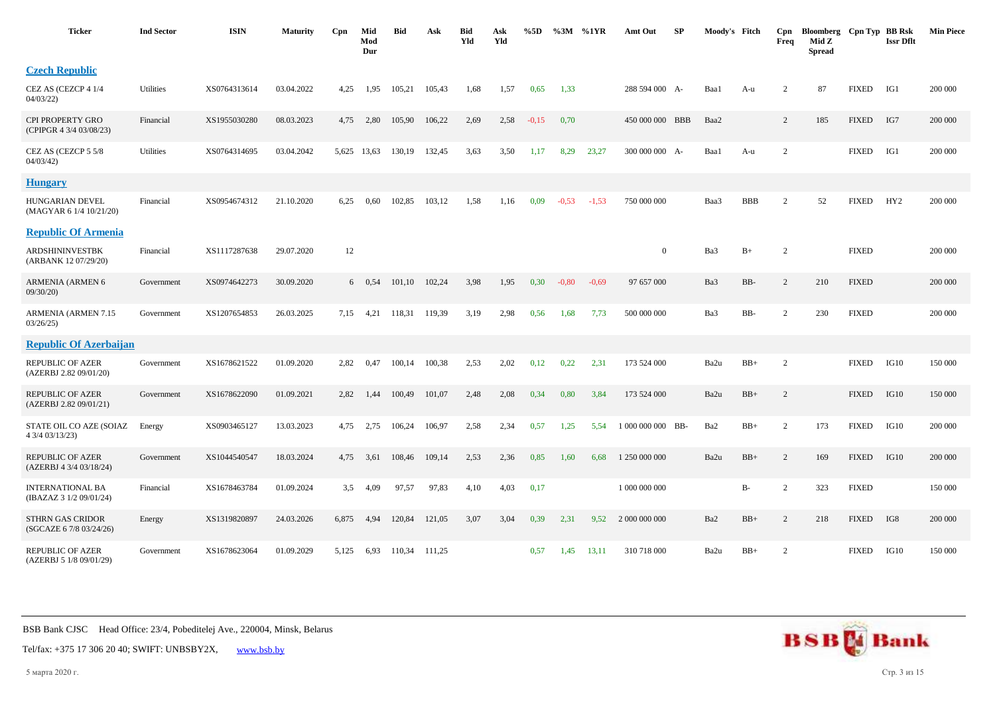| <b>Ticker</b>                                      | <b>Ind Sector</b> | <b>ISIN</b>  | <b>Maturity</b> | Cpn   | Mid<br>Mod<br>Dur | Bid    | Ask    | Bid<br>Yld | Ask<br>Yld | %5D     | %3M     | %1YR    | Amt Out           | SP | Moody's Fitch |            | Cpn<br>Freq    | Bloomberg Cpn Typ BB Rsk<br>Mid Z<br><b>Spread</b> |              | <b>Issr Dflt</b> | <b>Min Piece</b> |
|----------------------------------------------------|-------------------|--------------|-----------------|-------|-------------------|--------|--------|------------|------------|---------|---------|---------|-------------------|----|---------------|------------|----------------|----------------------------------------------------|--------------|------------------|------------------|
| <b>Czech Republic</b>                              |                   |              |                 |       |                   |        |        |            |            |         |         |         |                   |    |               |            |                |                                                    |              |                  |                  |
| CEZ AS (CEZCP 4 1/4<br>04/03/22                    | Utilities         | XS0764313614 | 03.04.2022      | 4,25  | 1,95              | 105,21 | 105,43 | 1,68       | 1,57       | 0,65    | 1,33    |         | 288 594 000 A-    |    | Baa1          | A-u        | $\overline{c}$ | 87                                                 | <b>FIXED</b> | IG1              | 200 000          |
| CPI PROPERTY GRO<br>(CPIPGR 4 3/4 03/08/23)        | Financial         | XS1955030280 | 08.03.2023      | 4,75  | 2,80              | 105,90 | 106,22 | 2,69       | 2,58       | $-0,15$ | 0,70    |         | 450 000 000 BBB   |    | Baa2          |            | 2              | 185                                                | <b>FIXED</b> | IG7              | 200 000          |
| CEZ AS (CEZCP 5 5/8<br>04/03/42                    | Utilities         | XS0764314695 | 03.04.2042      |       | 5,625 13,63       | 130,19 | 132,45 | 3,63       | 3,50       | 1,17    | 8,29    | 23,27   | 300 000 000 A-    |    | Baa1          | A-u        | $\overline{2}$ |                                                    | <b>FIXED</b> | IG1              | 200 000          |
| <b>Hungary</b>                                     |                   |              |                 |       |                   |        |        |            |            |         |         |         |                   |    |               |            |                |                                                    |              |                  |                  |
| HUNGARIAN DEVEL<br>(MAGYAR 6 1/4 10/21/20)         | Financial         | XS0954674312 | 21.10.2020      | 6,25  | 0,60              | 102,85 | 103,12 | 1,58       | 1,16       | 0,09    | $-0.53$ | $-1,53$ | 750 000 000       |    | Baa3          | <b>BBB</b> | 2              | 52                                                 | <b>FIXED</b> | HY <sub>2</sub>  | 200 000          |
| <b>Republic Of Armenia</b>                         |                   |              |                 |       |                   |        |        |            |            |         |         |         |                   |    |               |            |                |                                                    |              |                  |                  |
| ARDSHININVESTBK<br>(ARBANK 12 07/29/20)            | Financial         | XS1117287638 | 29.07.2020      | 12    |                   |        |        |            |            |         |         |         | $\overline{0}$    |    | Ba3           | $B+$       | 2              |                                                    | <b>FIXED</b> |                  | 200 000          |
| <b>ARMENIA (ARMEN 6</b><br>09/30/20                | Government        | XS0974642273 | 30.09.2020      |       | $6\quad 0.54$     | 101,10 | 102,24 | 3,98       | 1,95       | 0,30    | $-0.80$ | $-0.69$ | 97 657 000        |    | Ba3           | BB-        | $\overline{c}$ | 210                                                | <b>FIXED</b> |                  | 200 000          |
| ARMENIA (ARMEN 7.15<br>03/26/25                    | Government        | XS1207654853 | 26.03.2025      | 7,15  | 4,21              | 118,31 | 119,39 | 3,19       | 2,98       | 0,56    | 1,68    | 7,73    | 500 000 000       |    | Ba3           | BB-        | $\overline{2}$ | 230                                                | <b>FIXED</b> |                  | 200 000          |
| <b>Republic Of Azerbaijan</b>                      |                   |              |                 |       |                   |        |        |            |            |         |         |         |                   |    |               |            |                |                                                    |              |                  |                  |
| <b>REPUBLIC OF AZER</b><br>(AZERBJ 2.82 09/01/20)  | Government        | XS1678621522 | 01.09.2020      | 2,82  | 0,47              | 100,14 | 100,38 | 2,53       | 2,02       | 0,12    | 0,22    | 2,31    | 173 524 000       |    | Ba2u          | $BB+$      | 2              |                                                    | <b>FIXED</b> | IG10             | 150 000          |
| <b>REPUBLIC OF AZER</b><br>(AZERBJ 2.82 09/01/21)  | Government        | XS1678622090 | 01.09.2021      | 2,82  | 1,44              | 100,49 | 101,07 | 2,48       | 2,08       | 0,34    | 0,80    | 3,84    | 173 524 000       |    | Ba2u          | $BB+$      | 2              |                                                    | <b>FIXED</b> | IG10             | 150 000          |
| STATE OIL CO AZE (SOIAZ<br>4 3/4 03/13/23)         | Energy            | XS0903465127 | 13.03.2023      | 4,75  | 2,75              | 106,24 | 106,97 | 2,58       | 2,34       | 0,57    | 1,25    | 5,54    | 1 000 000 000 BB- |    | Ba2           | $BB+$      | 2              | 173                                                | <b>FIXED</b> | IG10             | 200 000          |
| <b>REPUBLIC OF AZER</b><br>(AZERBJ 4 3/4 03/18/24) | Government        | XS1044540547 | 18.03.2024      | 4,75  | 3,61              | 108,46 | 109,14 | 2,53       | 2,36       | 0,85    | 1,60    | 6,68    | 1 250 000 000     |    | Ba2u          | $BB+$      | 2              | 169                                                | <b>FIXED</b> | IG10             | 200 000          |
| <b>INTERNATIONAL BA</b><br>(IBAZAZ 3 1/2 09/01/24) | Financial         | XS1678463784 | 01.09.2024      | 3,5   | 4,09              | 97,57  | 97,83  | 4,10       | 4,03       | 0,17    |         |         | 1 000 000 000     |    |               | B-         | 2              | 323                                                | <b>FIXED</b> |                  | 150 000          |
| <b>STHRN GAS CRIDOR</b><br>(SGCAZE 6 7/8 03/24/26) | Energy            | XS1319820897 | 24.03.2026      | 6,875 | 4,94              | 120,84 | 121,05 | 3,07       | 3,04       | 0,39    | 2,31    | 9,52    | 2 000 000 000     |    | Ba2           | $BB+$      | 2              | 218                                                | <b>FIXED</b> | IG8              | 200 000          |
| <b>REPUBLIC OF AZER</b><br>(AZERBJ 5 1/8 09/01/29) | Government        | XS1678623064 | 01.09.2029      | 5,125 | 6,93              | 110,34 | 111,25 |            |            | 0,57    | 1,45    | 13,11   | 310 718 000       |    | Ba2u          | $BB+$      | 2              |                                                    | <b>FIXED</b> | IG10             | 150 000          |



Tel/fax: +375 17 306 20 40; SWIFT: UNBSBY2X, [www.bsb.by](https://www.bsb.by/)

5 марта 2020 г. Стр. 3 из 15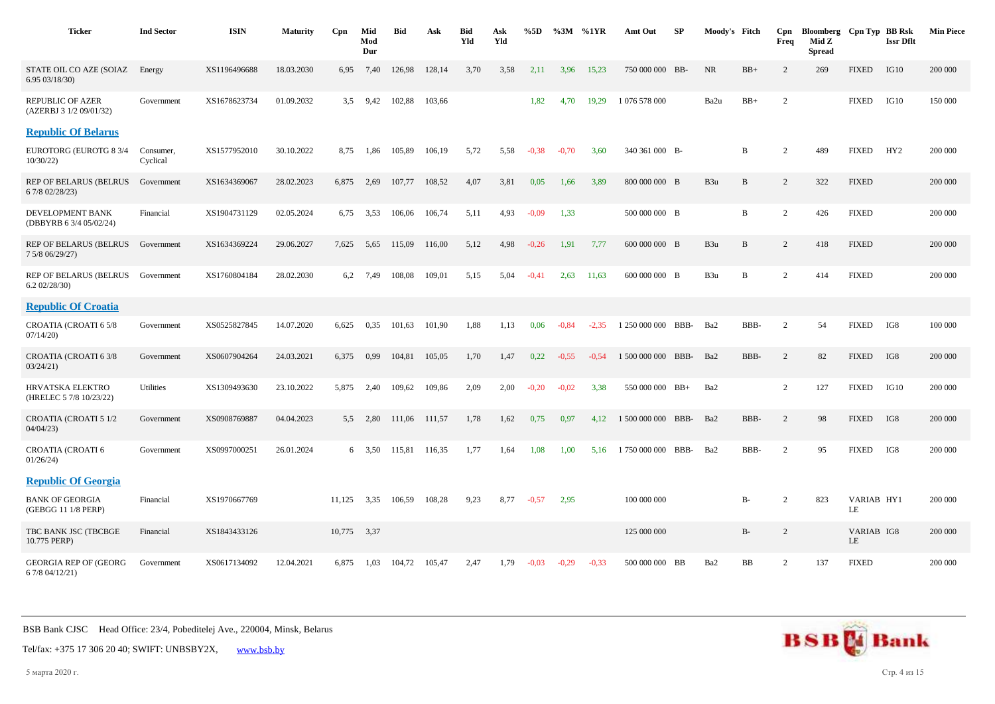| <b>Ticker</b>                                      | <b>Ind Sector</b>     | <b>ISIN</b>  | <b>Maturity</b> | Cpn    | Mid<br>Mod<br>Dur | <b>Bid</b> | Ask    | <b>Bid</b><br>Yld | Ask<br>Yld | %5D     | $\%3M$  | %1YR    | Amt Out            | SP   | Moody's Fitch |       | Cpn<br>Freq    | Bloomberg Cpn Typ BB Rsk<br>Mid Z<br><b>Spread</b> |                  | <b>Issr Dflt</b> | <b>Min Piece</b> |
|----------------------------------------------------|-----------------------|--------------|-----------------|--------|-------------------|------------|--------|-------------------|------------|---------|---------|---------|--------------------|------|---------------|-------|----------------|----------------------------------------------------|------------------|------------------|------------------|
| STATE OIL CO AZE (SOIAZ<br>6.95 03/18/30)          | Energy                | XS1196496688 | 18.03.2030      | 6,95   | 7,40              | 126,98     | 128,14 | 3,70              | 3,58       | 2,11    | 3,96    | 15,23   | 750 000 000 BB-    |      | NR            | $BB+$ | $\overline{2}$ | 269                                                | <b>FIXED</b>     | IG10             | 200 000          |
| REPUBLIC OF AZER<br>(AZERBJ 3 1/2 09/01/32)        | Government            | XS1678623734 | 01.09.2032      | 3.5    | 9,42              | 102,88     | 103,66 |                   |            | 1,82    | 4,70    | 19,29   | 1 076 578 000      |      | Ba2u          | $BB+$ | 2              |                                                    | <b>FIXED</b>     | IG10             | 150 000          |
| <b>Republic Of Belarus</b>                         |                       |              |                 |        |                   |            |        |                   |            |         |         |         |                    |      |               |       |                |                                                    |                  |                  |                  |
| <b>EUROTORG (EUROTG 8 3/4</b><br>10/30/22)         | Consumer,<br>Cyclical | XS1577952010 | 30.10.2022      | 8,75   | 1,86              | 105,89     | 106,19 | 5,72              | 5,58       | $-0.38$ | $-0.70$ | 3.60    | 340 361 000 B-     |      |               | B     | $\overline{2}$ | 489                                                | <b>FIXED</b>     | HY <sub>2</sub>  | 200 000          |
| <b>REP OF BELARUS (BELRUS</b><br>6 7/8 02/28/23)   | Government            | XS1634369067 | 28.02.2023      | 6,875  | 2,69              | 107,77     | 108,52 | 4,07              | 3,81       | 0,05    | 1,66    | 3,89    | 800 000 000 B      |      | B3u           | B     | $\overline{2}$ | 322                                                | <b>FIXED</b>     |                  | 200 000          |
| DEVELOPMENT BANK<br>(DBBYRB 6 3/4 05/02/24)        | Financial             | XS1904731129 | 02.05.2024      | 6,75   | 3,53              | 106,06     | 106,74 | 5,11              | 4,93       | $-0.09$ | 1,33    |         | 500 000 000 B      |      |               | B     | 2              | 426                                                | <b>FIXED</b>     |                  | 200 000          |
| REP OF BELARUS (BELRUS<br>7 5/8 06/29/27)          | Government            | XS1634369224 | 29.06.2027      | 7,625  | 5,65              | 115,09     | 116,00 | 5,12              | 4,98       | $-0,26$ | 1,91    | 7,77    | 600 000 000 B      |      | B3u           | B     | 2              | 418                                                | <b>FIXED</b>     |                  | 200 000          |
| <b>REP OF BELARUS (BELRUS</b><br>6.202/28/30       | Government            | XS1760804184 | 28.02.2030      | 6,2    | 7.49              | 108,08     | 109,01 | 5,15              | 5,04       | $-0.41$ | 2,63    | 11,63   | 600 000 000 B      |      | B3u           | B     | 2              | 414                                                | <b>FIXED</b>     |                  | 200 000          |
| <b>Republic Of Croatia</b>                         |                       |              |                 |        |                   |            |        |                   |            |         |         |         |                    |      |               |       |                |                                                    |                  |                  |                  |
| CROATIA (CROATI 65/8<br>07/14/20                   | Government            | XS0525827845 | 14.07.2020      | 6,625  | 0.35              | 101,63     | 101,90 | 1,88              | 1,13       | 0.06    | $-0.84$ | $-2.35$ | 1 250 000 000      | BBB- | Ba2           | BBB-  | 2              | 54                                                 | <b>FIXED</b>     | IG8              | 100 000          |
| CROATIA (CROATI 6 3/8<br>03/24/21                  | Government            | XS0607904264 | 24.03.2021      | 6,375  | 0,99              | 104,81     | 105,05 | 1,70              | 1,47       | 0,22    | $-0,55$ | $-0.54$ | 1 500 000 000      | BBB- | Ba2           | BBB-  | 2              | 82                                                 | <b>FIXED</b>     | IG8              | 200 000          |
| <b>HRVATSKA ELEKTRO</b><br>(HRELEC 5 7/8 10/23/22) | Utilities             | XS1309493630 | 23.10.2022      | 5,875  | 2,40              | 109,62     | 109,86 | 2,09              | 2,00       | $-0.20$ | $-0.02$ | 3,38    | 550 000 000 BB+    |      | Ba2           |       | 2              | 127                                                | <b>FIXED</b>     | IG10             | 200 000          |
| <b>CROATIA (CROATI 5 1/2</b><br>04/04/23           | Government            | XS0908769887 | 04.04.2023      | 5.5    | 2,80              | 111,06     | 111,57 | 1,78              | 1,62       | 0,75    | 0.97    | 4,12    | 1 500 000 000 BBB- |      | Ba2           | BBB-  | $\overline{2}$ | 98                                                 | <b>FIXED</b>     | IG8              | 200 000          |
| <b>CROATIA (CROATI 6</b><br>01/26/24               | Government            | XS0997000251 | 26.01.2024      |        | 6 3.50            | 115.81     | 116,35 | 1,77              | 1,64       | 1,08    | 1,00    | 5.16    | 1 750 000 000      | BBB- | Ba2           | BBB-  | 2              | 95                                                 | <b>FIXED</b>     | IG8              | 200 000          |
| <b>Republic Of Georgia</b>                         |                       |              |                 |        |                   |            |        |                   |            |         |         |         |                    |      |               |       |                |                                                    |                  |                  |                  |
| <b>BANK OF GEORGIA</b><br>(GEBGG 11 1/8 PERP)      | Financial             | XS1970667769 |                 | 11,125 | 3,35              | 106,59     | 108,28 | 9,23              | 8,77       | $-0.57$ | 2,95    |         | 100 000 000        |      |               | B-    | $\overline{2}$ | 823                                                | VARIAB HY1<br>LE |                  | 200 000          |
| TBC BANK JSC (TBCBGE<br>10.775 PERP)               | Financial             | XS1843433126 |                 | 10,775 | 3,37              |            |        |                   |            |         |         |         | 125 000 000        |      |               | $B-$  | $\overline{c}$ |                                                    | VARIAB IG8<br>LE |                  | 200 000          |
| <b>GEORGIA REP OF (GEORG)</b><br>6 7/8 04/12/21)   | Government            | XS0617134092 | 12.04.2021      | 6,875  | 1,03              | 104,72     | 105,47 | 2,47              | 1,79       | $-0.03$ | $-0,29$ | $-0.33$ | 500 000 000 BB     |      | Ba2           | BB    | 2              | 137                                                | <b>FIXED</b>     |                  | 200 000          |



Tel/fax: +375 17 306 20 40; SWIFT: UNBSBY2X, [www.bsb.by](https://www.bsb.by/)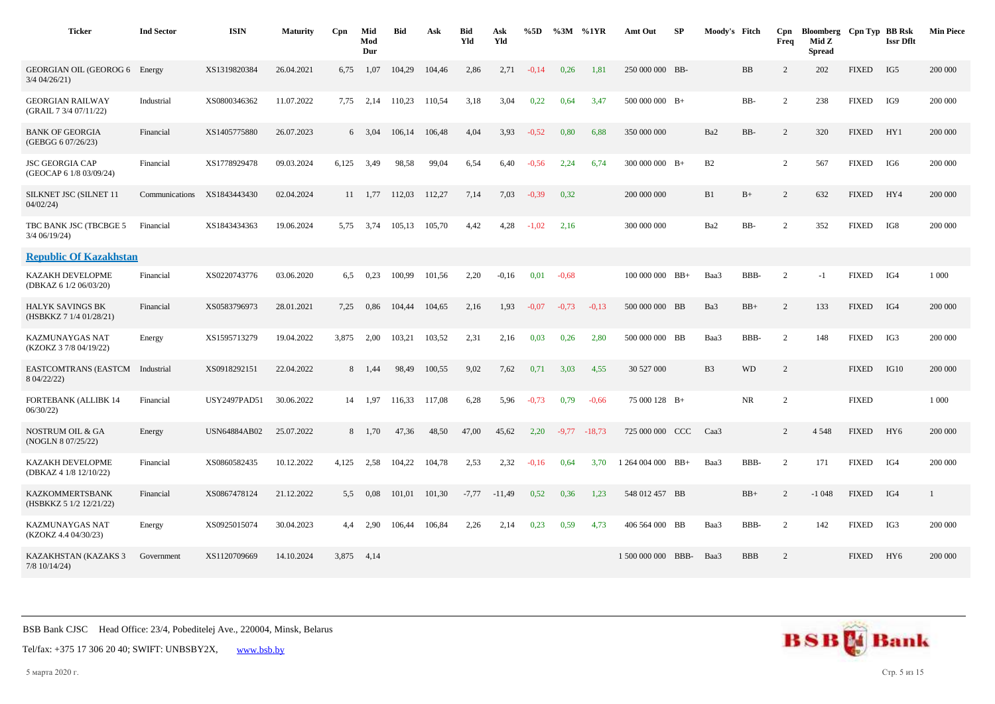| <b>Ticker</b>                                     | <b>Ind Sector</b> | <b>ISIN</b>         | <b>Maturity</b> | C <sub>pn</sub> | Mid<br>Mod<br>Dur | <b>Bid</b> | Ask    | <b>Bid</b><br>Yld | Ask<br>Yld | %5D     | $\%3M$  | %1YR           | Amt Out             | <b>SP</b> | Moody's Fitch  |            | Cpn<br>Freq    | Bloomberg Cpn Typ BB Rsk<br>Mid Z<br><b>Spread</b> |              | <b>Issr Dflt</b> | <b>Min Piece</b> |
|---------------------------------------------------|-------------------|---------------------|-----------------|-----------------|-------------------|------------|--------|-------------------|------------|---------|---------|----------------|---------------------|-----------|----------------|------------|----------------|----------------------------------------------------|--------------|------------------|------------------|
| GEORGIAN OIL (GEOROG 6 Energy<br>$3/4$ 04/26/21)  |                   | XS1319820384        | 26.04.2021      | 6,75            | 1,07              | 104,29     | 104,46 | 2,86              | 2,71       | $-0,14$ | 0,26    | 1,81           | 250 000 000 BB-     |           |                | BB         | 2              | 202                                                | <b>FIXED</b> | IG5              | 200 000          |
| <b>GEORGIAN RAILWAY</b><br>(GRAIL 7 3/4 07/11/22) | Industrial        | XS0800346362        | 11.07.2022      | 7,75            | 2,14              | 110,23     | 110,54 | 3,18              | 3,04       | 0,22    | 0.64    | 3,47           | $500\ 000\ 000$ B+  |           |                | BB-        | 2              | 238                                                | <b>FIXED</b> | IG9              | 200 000          |
| <b>BANK OF GEORGIA</b><br>(GEBGG 6 07/26/23)      | Financial         | XS1405775880        | 26.07.2023      |                 | $6\quad 3.04$     | 106,14     | 106,48 | 4,04              | 3,93       | $-0,52$ | 0,80    | 6,88           | 350 000 000         |           | Ba2            | BB-        | 2              | 320                                                | <b>FIXED</b> | HY1              | 200 000          |
| <b>JSC GEORGIA CAP</b><br>(GEOCAP 6 1/8 03/09/24) | Financial         | XS1778929478        | 09.03.2024      | 6,125           | 3,49              | 98,58      | 99,04  | 6,54              | 6,40       | $-0,56$ | 2,24    | 6,74           | $300\ 000\ 000$ B+  |           | B2             |            | 2              | 567                                                | <b>FIXED</b> | IG6              | 200 000          |
| SILKNET JSC (SILNET 11<br>04/02/24                | Communications    | XS1843443430        | 02.04.2024      | 11              | 1,77              | 112,03     | 112,27 | 7,14              | 7,03       | $-0,39$ | 0,32    |                | 200 000 000         |           | B1             | $B+$       | 2              | 632                                                | <b>FIXED</b> | HY4              | 200 000          |
| TBC BANK JSC (TBCBGE 5<br>$3/4$ 06/19/24)         | Financial         | XS1843434363        | 19.06.2024      |                 | 5,75 3,74         | 105,13     | 105,70 | 4,42              | 4,28       | $-1,02$ | 2,16    |                | 300 000 000         |           | Ba2            | BB-        | 2              | 352                                                | <b>FIXED</b> | IG8              | 200 000          |
| <b>Republic Of Kazakhstan</b>                     |                   |                     |                 |                 |                   |            |        |                   |            |         |         |                |                     |           |                |            |                |                                                    |              |                  |                  |
| KAZAKH DEVELOPME<br>(DBKAZ 6 1/2 06/03/20)        | Financial         | XS0220743776        | 03.06.2020      | 6,5             | 0,23              | 100,99     | 101,56 | 2,20              | $-0,16$    | 0,01    | $-0,68$ |                | $100\ 000\ 000$ BB+ |           | Baa3           | BBB-       | $\overline{c}$ | $-1$                                               | <b>FIXED</b> | IG4              | 1 0 0 0          |
| HALYK SAVINGS BK<br>(HSBKKZ 7 1/4 01/28/21)       | Financial         | XS0583796973        | 28.01.2021      | 7,25            | 0,86              | 104,44     | 104,65 | 2,16              | 1,93       | $-0.07$ | $-0,73$ | $-0.13$        | 500 000 000 BB      |           | Ba3            | $\rm BB+$  | $\overline{c}$ | 133                                                | <b>FIXED</b> | IG4              | 200 000          |
| KAZMUNAYGAS NAT<br>(KZOKZ 3 7/8 04/19/22)         | Energy            | XS1595713279        | 19.04.2022      | 3,875           | 2,00              | 103,21     | 103,52 | 2,31              | 2,16       | 0,03    | 0,26    | 2,80           | 500 000 000 BB      |           | Baa3           | BBB-       | 2              | 148                                                | <b>FIXED</b> | IG3              | 200 000          |
| <b>EASTCOMTRANS (EASTCM</b><br>8 04/22/22)        | Industrial        | XS0918292151        | 22.04.2022      |                 | 8 1,44            | 98,49      | 100,55 | 9,02              | 7,62       | 0,71    | 3,03    | 4.55           | 30 527 000          |           | B <sub>3</sub> | <b>WD</b>  | 2              |                                                    | <b>FIXED</b> | IG10             | 200 000          |
| <b>FORTEBANK (ALLIBK 14</b><br>06/30/22           | Financial         | <b>USY2497PAD51</b> | 30.06.2022      |                 | 14 1,97           | 116,33     | 117,08 | 6,28              | 5,96       | $-0.73$ | 0,79    | $-0.66$        | 75 000 128 B+       |           |                | <b>NR</b>  | 2              |                                                    | <b>FIXED</b> |                  | 1 0 0 0          |
| NOSTRUM OIL & GA<br>(NOGLN 8 07/25/22)            | Energy            | <b>USN64884AB02</b> | 25.07.2022      |                 | 8 1,70            | 47,36      | 48,50  | 47,00             | 45,62      | 2,20    |         | $-9,77 -18,73$ | 725 000 000 CCC     |           | Caa3           |            | 2              | 4 5 4 8                                            | <b>FIXED</b> | HY <sub>6</sub>  | 200 000          |
| KAZAKH DEVELOPME<br>(DBKAZ 4 1/8 12/10/22)        | Financial         | XS0860582435        | 10.12.2022      | 4,125           | 2,58              | 104,22     | 104,78 | 2,53              | 2,32       | $-0,16$ | 0,64    | 3,70           | 1 264 004 000 BB+   |           | Baa3           | BBB-       | 2              | 171                                                | <b>FIXED</b> | IG4              | 200 000          |
| <b>KAZKOMMERTSBANK</b><br>(HSBKKZ 5 1/2 12/21/22) | Financial         | XS0867478124        | 21.12.2022      | 5.5             | 0.08              | 101,01     | 101,30 | $-7,77$           | $-11,49$   | 0,52    | 0.36    | 1,23           | 548 012 457 BB      |           |                | $BB+$      | $\overline{2}$ | $-1048$                                            | <b>FIXED</b> | IG4              |                  |
| KAZMUNAYGAS NAT<br>(KZOKZ 4.4 04/30/23)           | Energy            | XS0925015074        | 30.04.2023      | 4,4             | 2,90              | 106,44     | 106,84 | 2,26              | 2,14       | 0,23    | 0,59    | 4,73           | 406 564 000 BB      |           | Baa3           | BBB-       | 2              | 142                                                | <b>FIXED</b> | IG3              | 200 000          |
| KAZAKHSTAN (KAZAKS 3<br>$7/8$ 10/14/24)           | Government        | XS1120709669        | 14.10.2024      | 3.875           | 4,14              |            |        |                   |            |         |         |                | 1 500 000 000 BBB-  |           | Baa3           | <b>BBB</b> | $\overline{2}$ |                                                    | <b>FIXED</b> | HY <sub>6</sub>  | 200 000          |

Tel/fax: +375 17 306 20 40; SWIFT: UNBSBY2X, [www.bsb.by](https://www.bsb.by/)

5 марта 2020 г. Стр. 5 из 15

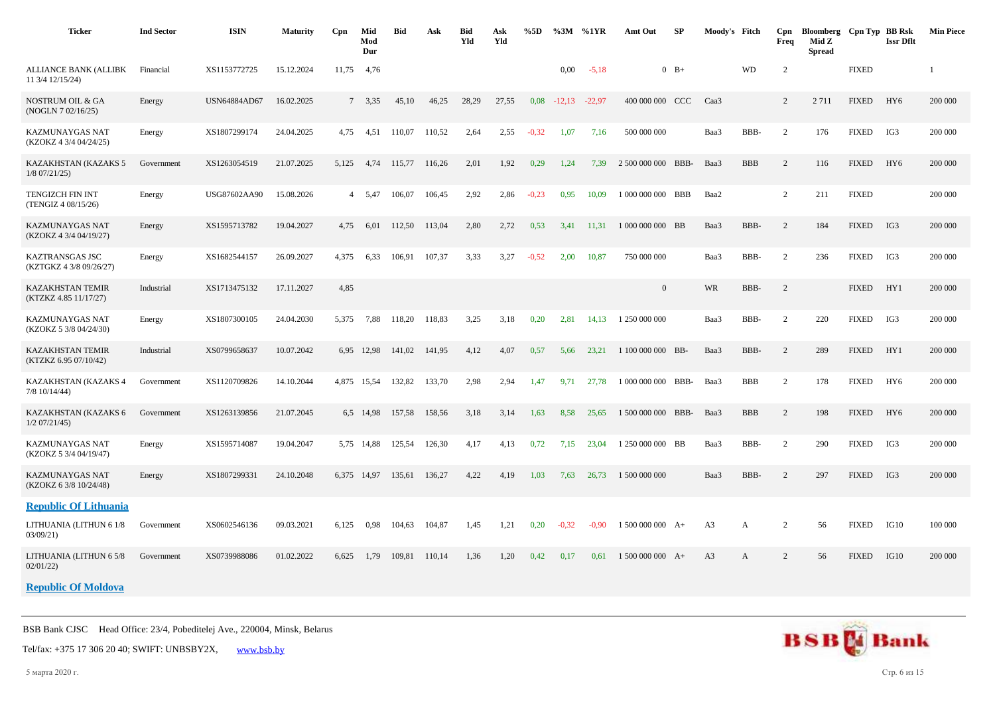| <b>Ticker</b>                                    | <b>Ind Sector</b> | <b>ISIN</b>  | <b>Maturity</b> | Cpn            | Mid<br>Mod<br>Dur | <b>Bid</b> | Ask    | Bid<br>Yld | Ask<br>Yld | %5D     |          | $\%3M$ %1YR | Amt Out            | SP     | Moody's Fitch  |            | Cpn<br>Freq    | Bloomberg Cpn Typ BB Rsk<br>Mid Z<br><b>Spread</b> |              | <b>Issr Dflt</b> | <b>Min Piece</b> |
|--------------------------------------------------|-------------------|--------------|-----------------|----------------|-------------------|------------|--------|------------|------------|---------|----------|-------------|--------------------|--------|----------------|------------|----------------|----------------------------------------------------|--------------|------------------|------------------|
| ALLIANCE BANK (ALLIBK<br>11 3/4 12/15/24)        | Financial         | XS1153772725 | 15.12.2024      | 11,75          | 4,76              |            |        |            |            |         | $0.00\,$ | $-5,18$     |                    | $0$ B+ |                | <b>WD</b>  | 2              |                                                    | <b>FIXED</b> |                  |                  |
| NOSTRUM OIL & GA<br>(NOGLN 7 02/16/25)           | Energy            | USN64884AD67 | 16.02.2025      |                | 7, 3, 35          | 45,10      | 46,25  | 28,29      | 27,55      | 0,08    | $-12.13$ | $-22,97$    | 400 000 000 CCC    |        | Caa3           |            | $\overline{2}$ | 2 7 1 1                                            | <b>FIXED</b> | HY <sub>6</sub>  | 200 000          |
| KAZMUNAYGAS NAT<br>(KZOKZ 4 3/4 04/24/25)        | Energy            | XS1807299174 | 24.04.2025      | 4,75           | 4,51              | 110,07     | 110,52 | 2,64       | 2,55       | $-0,32$ | 1,07     | 7,16        | 500 000 000        |        | Baa3           | BBB-       | $\overline{2}$ | 176                                                | <b>FIXED</b> | IG3              | 200 000          |
| KAZAKHSTAN (KAZAKS 5<br>$1/8$ 07/21/25)          | Government        | XS1263054519 | 21.07.2025      | 5,125          | 4.74              | 115,77     | 116,26 | 2,01       | 1,92       | 0,29    | 1,24     | 7,39        | 2 500 000 000      | BBB-   | Baa3           | <b>BBB</b> | 2              | 116                                                | <b>FIXED</b> | HY <sub>6</sub>  | 200 000          |
| <b>TENGIZCH FIN INT</b><br>(TENGIZ 4 08/15/26)   | Energy            | USG87602AA90 | 15.08.2026      | $\overline{4}$ | 5,47              | 106,07     | 106,45 | 2,92       | 2,86       | $-0,23$ | 0.95     | 10,09       | 1 000 000 000 BBB  |        | Baa2           |            | $\overline{2}$ | 211                                                | <b>FIXED</b> |                  | 200 000          |
| KAZMUNAYGAS NAT<br>(KZOKZ 4 3/4 04/19/27)        | Energy            | XS1595713782 | 19.04.2027      | 4,75           | 6,01              | 112,50     | 113,04 | 2,80       | 2,72       | 0,53    | 3,41     | 11,31       | 1 000 000 000 BB   |        | Baa3           | BBB-       | $\sqrt{2}$     | 184                                                | <b>FIXED</b> | IG3              | 200 000          |
| KAZTRANSGAS JSC<br>(KZTGKZ 4 3/8 09/26/27)       | Energy            | XS1682544157 | 26.09.2027      | 4,375          | 6,33              | 106,91     | 107,37 | 3.33       | 3,27       | $-0.52$ | 2,00     | 10,87       | 750 000 000        |        | Baa3           | BBB-       | $\overline{c}$ | 236                                                | <b>FIXED</b> | IG3              | 200 000          |
| <b>KAZAKHSTAN TEMIR</b><br>(KTZKZ 4.85 11/17/27) | Industrial        | XS1713475132 | 17.11.2027      | 4,85           |                   |            |        |            |            |         |          |             | $\overline{0}$     |        | WR             | BBB-       | 2              |                                                    | <b>FIXED</b> | HY1              | 200 000          |
| KAZMUNAYGAS NAT<br>(KZOKZ 5 3/8 04/24/30)        | Energy            | XS1807300105 | 24.04.2030      | 5,375          | 7,88              | 118,20     | 118,83 | 3,25       | 3,18       | 0,20    | 2,81     | 14,13       | 1 250 000 000      |        | Baa3           | BBB-       | $\overline{2}$ | 220                                                | <b>FIXED</b> | IG3              | 200 000          |
| <b>KAZAKHSTAN TEMIR</b><br>(KTZKZ 6.95 07/10/42) | Industrial        | XS0799658637 | 10.07.2042      |                | 6,95 12,98        | 141,02     | 141,95 | 4,12       | 4,07       | 0,57    | 5,66     | 23,21       | 1 100 000 000 BB-  |        | Baa3           | BBB-       | 2              | 289                                                | <b>FIXED</b> | HY1              | 200 000          |
| KAZAKHSTAN (KAZAKS 4<br>$7/8$ 10/14/44)          | Government        | XS1120709826 | 14.10.2044      | 4,875          | 15,54             | 132,82     | 133,70 | 2,98       | 2,94       | 1,47    | 9,71     | 27,78       | 1 000 000 000 BBB- |        | Baa3           | <b>BBB</b> | 2              | 178                                                | <b>FIXED</b> | HY <sub>6</sub>  | 200 000          |
| KAZAKHSTAN (KAZAKS 6<br>$1/2$ 07/21/45)          | Government        | XS1263139856 | 21.07.2045      |                | 6,5 14,98         | 157,58     | 158,56 | 3,18       | 3,14       | 1,63    | 8,58     | 25,65       | 1 500 000 000      | BBB-   | Baa3           | <b>BBB</b> | $\overline{2}$ | 198                                                | <b>FIXED</b> | HY <sub>6</sub>  | 200 000          |
| KAZMUNAYGAS NAT<br>(KZOKZ 5 3/4 04/19/47)        | Energy            | XS1595714087 | 19.04.2047      |                | 5,75 14,88        | 125,54     | 126,30 | 4,17       | 4,13       | 0,72    | 7,15     | 23,04       | 1 250 000 000 BB   |        | Baa3           | BBB-       | 2              | 290                                                | <b>FIXED</b> | IG3              | 200 000          |
| KAZMUNAYGAS NAT<br>(KZOKZ 6 3/8 10/24/48)        | Energy            | XS1807299331 | 24.10.2048      |                | 6,375 14,97       | 135,61     | 136,27 | 4,22       | 4,19       | 1,03    | 7.63     | 26,73       | 1 500 000 000      |        | Baa3           | BBB-       | 2              | 297                                                | <b>FIXED</b> | IG3              | 200 000          |
| <b>Republic Of Lithuania</b>                     |                   |              |                 |                |                   |            |        |            |            |         |          |             |                    |        |                |            |                |                                                    |              |                  |                  |
| LITHUANIA (LITHUN 6 1/8<br>03/09/21)             | Government        | XS0602546136 | 09.03.2021      | 6,125          | 0.98              | 104,63     | 104,87 | 1,45       | 1,21       | 0,20    | $-0,32$  | $-0.90$     | $1500000000 A+$    |        | A3             | A          | 2              | 56                                                 | <b>FIXED</b> | IG10             | 100 000          |
| LITHUANIA (LITHUN 6 5/8<br>02/01/22              | Government        | XS0739988086 | 01.02.2022      | 6.625          | 1,79              | 109.81     | 110,14 | 1,36       | 1,20       | 0,42    | 0,17     | 0.61        | $1500000000 A+$    |        | A <sub>3</sub> | A          | $\overline{2}$ | 56                                                 | <b>FIXED</b> | IG10             | 200 000          |

**Republic Of Moldova**

BSB Bank CJSC Head Office: 23/4, Pobeditelej Ave., 220004, Minsk, Belarus

Tel/fax: +375 17 306 20 40; SWIFT: UNBSBY2X, [www.bsb.by](https://www.bsb.by/)

5 марта 2020 г. Стр. 6 из 15

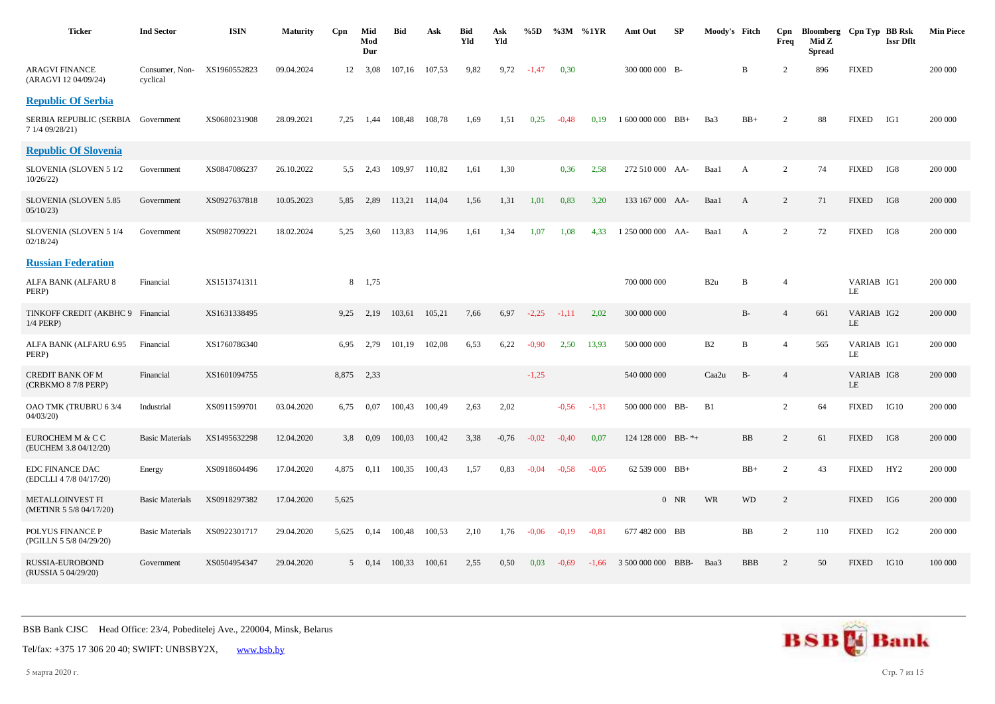| <b>Ticker</b>                                     | <b>Ind Sector</b>          | <b>ISIN</b>  | <b>Maturity</b> | Cpn   | Mid<br>Mod<br>Dur | Bid    | Ask    | <b>Bid</b><br>Yld | Ask<br>Yld | %5D     |         | $\%3M$ %1YR | Amt Out            | SP     | Moody's Fitch   |              | Cpn<br>Freq    | Bloomberg Cpn Typ BB Rsk<br>Mid Z<br><b>Spread</b> |                  | <b>Issr Dflt</b> | <b>Min Piece</b> |
|---------------------------------------------------|----------------------------|--------------|-----------------|-------|-------------------|--------|--------|-------------------|------------|---------|---------|-------------|--------------------|--------|-----------------|--------------|----------------|----------------------------------------------------|------------------|------------------|------------------|
| <b>ARAGVI FINANCE</b><br>(ARAGVI 12 04/09/24)     | Consumer, Non-<br>cyclical | XS1960552823 | 09.04.2024      | 12    | 3,08              | 107,16 | 107,53 | 9,82              | 9,72       | $-1,47$ | 0,30    |             | 300 000 000 B-     |        |                 | B            | $\overline{2}$ | 896                                                | <b>FIXED</b>     |                  | 200 000          |
| <b>Republic Of Serbia</b>                         |                            |              |                 |       |                   |        |        |                   |            |         |         |             |                    |        |                 |              |                |                                                    |                  |                  |                  |
| SERBIA REPUBLIC (SERBIA<br>7 1/4 09/28/21)        | Government                 | XS0680231908 | 28.09.2021      | 7,25  | 1,44              | 108,48 | 108,78 | 1,69              | 1,51       | 0,25    | $-0.48$ | 0.19        | $1600000000$ BB+   |        | Ba3             | $BB+$        | $\overline{c}$ | 88                                                 | <b>FIXED</b>     | IG1              | 200 000          |
| <b>Republic Of Slovenia</b>                       |                            |              |                 |       |                   |        |        |                   |            |         |         |             |                    |        |                 |              |                |                                                    |                  |                  |                  |
| SLOVENIA (SLOVEN 5 1/2<br>10/26/22                | Government                 | XS0847086237 | 26.10.2022      | 5,5   | 2,43              | 109,97 | 110,82 | 1,61              | 1,30       |         | 0,36    | 2,58        | 272 510 000 AA-    |        | Baa1            | A            | $\overline{c}$ | 74                                                 | <b>FIXED</b>     | IG8              | 200 000          |
| SLOVENIA (SLOVEN 5.85<br>05/10/23                 | Government                 | XS0927637818 | 10.05.2023      | 5,85  | 2,89              | 113,21 | 114,04 | 1,56              | 1,31       | 1,01    | 0,83    | 3,20        | 133 167 000 AA-    |        | Baa1            | A            | $\overline{c}$ | 71                                                 | <b>FIXED</b>     | IG8              | 200 000          |
| SLOVENIA (SLOVEN 5 1/4<br>02/18/24                | Government                 | XS0982709221 | 18.02.2024      | 5,25  | 3,60              | 113,83 | 114,96 | 1,61              | 1,34       | 1,07    | 1.08    | 4.33        | 1 250 000 000      | - AA   | Baa1            | A            | $\overline{c}$ | 72                                                 | <b>FIXED</b>     | IG8              | 200 000          |
| <b>Russian Federation</b>                         |                            |              |                 |       |                   |        |        |                   |            |         |         |             |                    |        |                 |              |                |                                                    |                  |                  |                  |
| ALFA BANK (ALFARU 8<br>PERP)                      | Financial                  | XS1513741311 |                 | 8     | 1,75              |        |        |                   |            |         |         |             | 700 000 000        |        | B <sub>2u</sub> | B            | $\overline{4}$ |                                                    | VARIAB IG1<br>LE |                  | 200 000          |
| TINKOFF CREDIT (AKBHC 9<br>1/4 PERP)              | Financial                  | XS1631338495 |                 | 9,25  | 2,19              | 103,61 | 105,21 | 7,66              | 6,97       | $-2,25$ | $-1,11$ | 2,02        | 300 000 000        |        |                 | $B-$         | $\overline{4}$ | 661                                                | VARIAB IG2<br>LE |                  | 200 000          |
| ALFA BANK (ALFARU 6.95<br>PERP)                   | Financial                  | XS1760786340 |                 | 6.95  | 2,79              | 101,19 | 102,08 | 6,53              | 6,22       | $-0,90$ | 2,50    | 13,93       | 500 000 000        |        | B2              | $\, {\bf B}$ | $\overline{4}$ | 565                                                | VARIAB IG1<br>LE |                  | 200 000          |
| <b>CREDIT BANK OF M</b><br>(CRBKMO 8 7/8 PERP)    | Financial                  | XS1601094755 |                 | 8,875 | 2,33              |        |        |                   |            | $-1,25$ |         |             | 540 000 000        |        | Caa2u           | $B-$         | $\overline{4}$ |                                                    | VARIAB IG8<br>LE |                  | 200 000          |
| OAO TMK (TRUBRU 6 3/4<br>04/03/20                 | Industrial                 | XS0911599701 | 03.04.2020      | 6,75  | 0,07              | 100,43 | 100,49 | 2,63              | 2,02       |         | $-0.56$ | $-1,31$     | 500 000 000 BB-    |        | B1              |              | $\overline{c}$ | 64                                                 | <b>FIXED</b>     | IG10             | 200 000          |
| EUROCHEM M & C C<br>(EUCHEM 3.8 04/12/20)         | <b>Basic Materials</b>     | XS1495632298 | 12.04.2020      | 3,8   | 0,09              | 100,03 | 100,42 | 3,38              | $-0.76$    | $-0.02$ | $-0,40$ | 0,07        | 124 128 000 BB-*+  |        |                 | BB           | $\overline{c}$ | 61                                                 | <b>FIXED</b>     | IG8              | 200 000          |
| <b>EDC FINANCE DAC</b><br>(EDCLLI 4 7/8 04/17/20) | Energy                     | XS0918604496 | 17.04.2020      | 4,875 | 0,11              | 100,35 | 100,43 | 1,57              | 0,83       | $-0.04$ | $-0.58$ | $-0.05$     | $62539000$ BB+     |        |                 | $\rm BB+$    | $\overline{c}$ | 43                                                 | <b>FIXED</b>     | HY <sub>2</sub>  | 200 000          |
| METALLOINVEST FI<br>(METINR 5 5/8 04/17/20)       | <b>Basic Materials</b>     | XS0918297382 | 17.04.2020      | 5,625 |                   |        |        |                   |            |         |         |             |                    | $0$ NR | <b>WR</b>       | <b>WD</b>    | $\overline{c}$ |                                                    | <b>FIXED</b>     | IG6              | 200 000          |
| POLYUS FINANCE P<br>(PGILLN 5 5/8 04/29/20)       | <b>Basic Materials</b>     | XS0922301717 | 29.04.2020      | 5,625 | 0,14              | 100,48 | 100,53 | 2,10              | 1,76       | $-0.06$ | $-0.19$ | $-0.81$     | 677 482 000 BB     |        |                 | $_{\rm BB}$  | $\overline{c}$ | 110                                                | <b>FIXED</b>     | IG <sub>2</sub>  | 200 000          |
| <b>RUSSIA-EUROBOND</b><br>(RUSSIA 5 04/29/20)     | Government                 | XS0504954347 | 29.04.2020      |       | $5 \t 0.14$       | 100,33 | 100,61 | 2,55              | 0,50       | 0,03    | $-0.69$ | $-1.66$     | 3 500 000 000 BBB- |        | Baa3            | <b>BBB</b>   | $\overline{c}$ | 50                                                 | <b>FIXED</b>     | IG10             | 100 000          |



Tel/fax: +375 17 306 20 40; SWIFT: UNBSBY2X, [www.bsb.by](https://www.bsb.by/)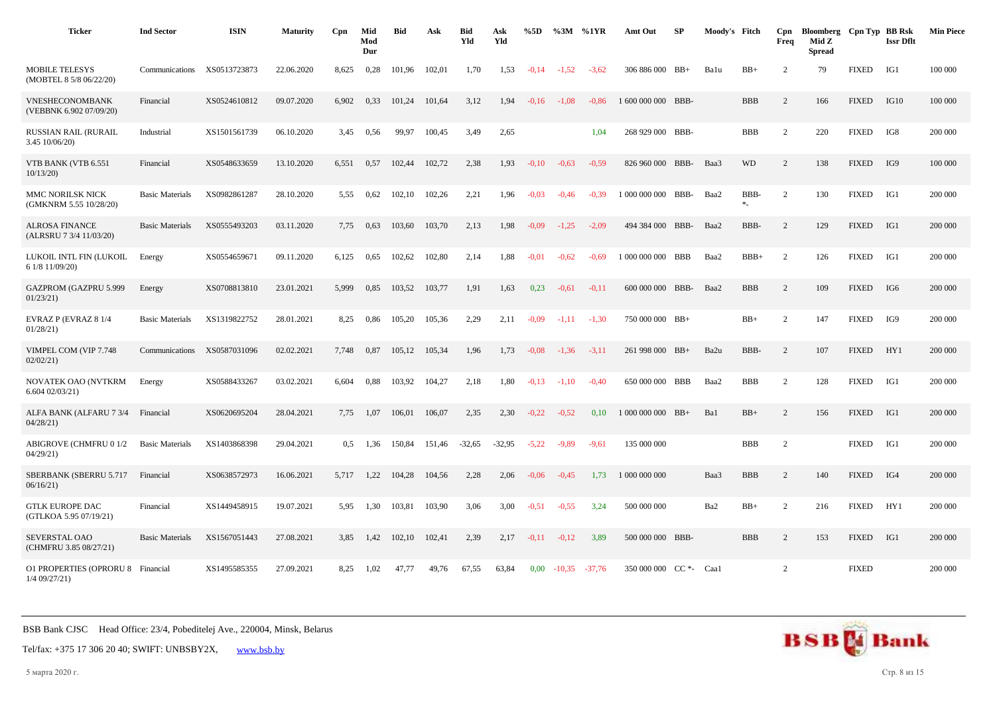| <b>Ticker</b>                                        | <b>Ind Sector</b>      | <b>ISIN</b>  | <b>Maturity</b> | Cpn   | Mid<br>Mod<br>Dur | <b>Bid</b> | Ask    | <b>Bid</b><br>Yld | Ask<br>Yld | %5D     |          | %3M %1YR | Amt Out                | SP    | Moody's Fitch |             | Cpn<br>Freq    | Bloomberg Cpn Typ BB Rsk<br>Mid Z<br><b>Spread</b> |              | <b>Issr Dflt</b> | <b>Min Piece</b> |
|------------------------------------------------------|------------------------|--------------|-----------------|-------|-------------------|------------|--------|-------------------|------------|---------|----------|----------|------------------------|-------|---------------|-------------|----------------|----------------------------------------------------|--------------|------------------|------------------|
| <b>MOBILE TELESYS</b><br>(MOBTEL 8 5/8 06/22/20)     | Communications         | XS0513723873 | 22.06.2020      | 8,625 | 0,28              | 101,96     | 102,01 | 1,70              | 1,53       | $-0.14$ | $-1,52$  | $-3,62$  | 306 886 000 BB+        |       | Balu          | $BB+$       | 2              | 79                                                 | <b>FIXED</b> | IG1              | 100 000          |
| VNESHECONOMBANK<br>(VEBBNK 6.902 07/09/20)           | Financial              | XS0524610812 | 09.07.2020      | 6,902 | 0,33              | 101,24     | 101,64 | 3,12              | 1,94       | $-0.16$ | $-1.08$  | $-0.86$  | 1 600 000 000 BBB-     |       |               | <b>BBB</b>  | 2              | 166                                                | <b>FIXED</b> | IG10             | 100 000          |
| <b>RUSSIAN RAIL (RURAIL</b><br>$3.45$ 10/06/20)      | Industrial             | XS1501561739 | 06.10.2020      | 3.45  | 0,56              | 99,97      | 100,45 | 3,49              | 2,65       |         |          | 1.04     | 268 929 000 BBB-       |       |               | <b>BBB</b>  | 2              | 220                                                | <b>FIXED</b> | IG8              | 200 000          |
| VTB BANK (VTB 6.551<br>10/13/20                      | Financial              | XS0548633659 | 13.10.2020      | 6,551 | 0,57              | 102,44     | 102,72 | 2,38              | 1,93       | $-0,10$ | $-0,63$  | $-0.59$  | 826 960 000 BBB-       |       | Baa3          | <b>WD</b>   | 2              | 138                                                | <b>FIXED</b> | IG9              | 100 000          |
| MMC NORILSK NICK<br>(GMKNRM 5.55 10/28/20)           | <b>Basic Materials</b> | XS0982861287 | 28.10.2020      | 5,55  | 0,62              | 102,10     | 102,26 | 2,21              | 1,96       | $-0.03$ | $-0.46$  | $-0.39$  | 1 000 000 000 BBB-     |       | Baa2          | BBB-<br>$*$ | 2              | 130                                                | <b>FIXED</b> | IG1              | 200 000          |
| <b>ALROSA FINANCE</b><br>(ALRSRU 7 3/4 11/03/20)     | <b>Basic Materials</b> | XS0555493203 | 03.11.2020      | 7.75  | 0,63              | 103.60     | 103.70 | 2,13              | 1,98       | $-0.09$ | $-1.25$  | $-2.09$  | 494 384 000            | BBB-  | Baa2          | BBB-        | 2              | 129                                                | <b>FIXED</b> | IG1              | 200 000          |
| LUKOIL INTL FIN (LUKOIL<br>6 1/8 11/09/20)           | Energy                 | XS0554659671 | 09.11.2020      | 6,125 | 0.65              | 102,62     | 102,80 | 2,14              | 1,88       | $-0.01$ | $-0,62$  | $-0.69$  | 1 000 000 000 BBB      |       | Baa2          | $BBB+$      | 2              | 126                                                | <b>FIXED</b> | IG1              | 200 000          |
| GAZPROM (GAZPRU 5.999<br>01/23/21                    | Energy                 | XS0708813810 | 23.01.2021      | 5,999 | 0,85              | 103,52     | 103,77 | 1,91              | 1,63       | 0,23    | $-0.61$  | $-0.11$  | 600 000 000 BBB-       |       | Baa2          | <b>BBB</b>  | $\overline{2}$ | 109                                                | <b>FIXED</b> | IG6              | 200 000          |
| EVRAZ P (EVRAZ 8 1/4<br>01/28/21                     | <b>Basic Materials</b> | XS1319822752 | 28.01.2021      | 8,25  | 0,86              | 105,20     | 105,36 | 2,29              | 2,11       | $-0,09$ | $-1,11$  | $-1,30$  | 750 000 000 BB+        |       |               | $BB+$       | $\overline{2}$ | 147                                                | <b>FIXED</b> | IG9              | 200 000          |
| VIMPEL COM (VIP 7.748<br>02/02/21                    | Communications         | XS0587031096 | 02.02.2021      | 7.748 | 0,87              | 105,12     | 105,34 | 1,96              | 1,73       | $-0.08$ | $-1,36$  | $-3.11$  | 261 998 000 BB+        |       | Ba2u          | BBB-        | 2              | 107                                                | <b>FIXED</b> | HY1              | 200 000          |
| NOVATEK OAO (NVTKRM<br>6.60402/03/21)                | Energy                 | XS0588433267 | 03.02.2021      | 6.604 | 0.88              | 103.92     | 104,27 | 2,18              | 1,80       | $-0.13$ | $-1.10$  | $-0.40$  | 650 000 000            | BBB   | Baa2          | <b>BBB</b>  | 2              | 128                                                | <b>FIXED</b> | IG1              | 200 000          |
| ALFA BANK (ALFARU 7 3/4<br>04/28/21                  | Financial              | XS0620695204 | 28.04.2021      | 7,75  | 1,07              | 106,01     | 106,07 | 2,35              | 2,30       | $-0,22$ | $-0,52$  | 0,10     | 1 000 000 000          | $BB+$ | Ba1           | $BB+$       | 2              | 156                                                | <b>FIXED</b> | IG1              | 200 000          |
| <b>ABIGROVE (CHMFRU 0 1/2</b><br>04/29/21            | <b>Basic Materials</b> | XS1403868398 | 29.04.2021      | 0,5   | 1,36              | 150,84     | 151,46 | $-32,65$          | $-32,95$   | $-5,22$ | $-9,89$  | $-9,61$  | 135 000 000            |       |               | <b>BBB</b>  | $\overline{2}$ |                                                    | <b>FIXED</b> | IG1              | 200 000          |
| SBERBANK (SBERRU 5.717<br>06/16/21)                  | Financial              | XS0638572973 | 16.06.2021      | 5,717 | 1,22              | 104,28     | 104,56 | 2,28              | 2,06       | $-0.06$ | $-0.45$  | 1,73     | 1 000 000 000          |       | Baa3          | <b>BBB</b>  | 2              | 140                                                | <b>FIXED</b> | IG4              | 200 000          |
| <b>GTLK EUROPE DAC</b><br>(GTLKOA 5.95 07/19/21)     | Financial              | XS1449458915 | 19.07.2021      | 5,95  | 1,30              | 103,81     | 103,90 | 3,06              | 3,00       | $-0.51$ | $-0.55$  | 3,24     | 500 000 000            |       | Ba2           | $BB+$       | 2              | 216                                                | <b>FIXED</b> | HY1              | 200 000          |
| SEVERSTAL OAO<br>(CHMFRU 3.85 08/27/21)              | <b>Basic Materials</b> | XS1567051443 | 27.08.2021      | 3,85  | 1,42              | 102,10     | 102,41 | 2,39              | 2,17       | $-0.11$ | $-0,12$  | 3,89     | 500 000 000 BBB-       |       |               | <b>BBB</b>  | $\overline{2}$ | 153                                                | <b>FIXED</b> | IG1              | 200 000          |
| O1 PROPERTIES (OPRORU 8 Financial<br>$1/4$ 09/27/21) |                        | XS1495585355 | 27.09.2021      | 8.25  | 1,02              | 47,77      | 49.76  | 67.55             | 63,84      | 0.00    | $-10,35$ | $-37.76$ | 350 000 000 CC *- Caa1 |       |               |             | 2              |                                                    | <b>FIXED</b> |                  | 200 000          |

Tel/fax: +375 17 306 20 40; SWIFT: UNBSBY2X, [www.bsb.by](https://www.bsb.by/)

5 марта 2020 г. Стр. 8 из 15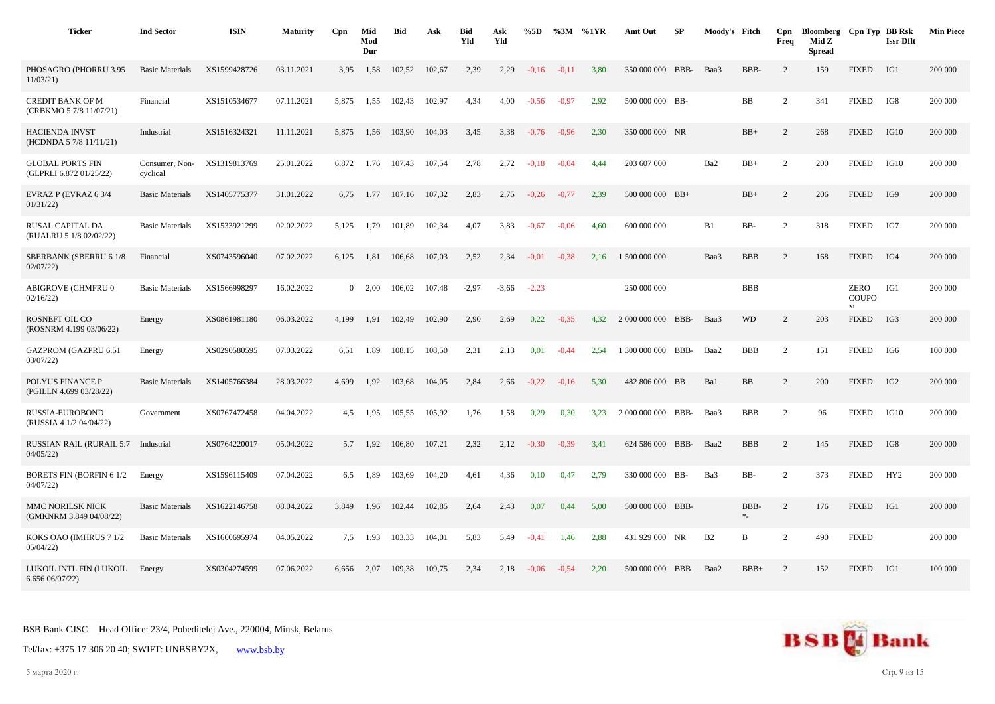| <b>Ticker</b>                                      | <b>Ind Sector</b>          | <b>ISIN</b>  | <b>Maturity</b> | Cpn            | Mid<br>Mod<br>Dur | <b>Bid</b> | Ask    | <b>Bid</b><br>Yld | Ask<br>Yld | %5D     | %3M     | %1YR | Amt Out            | <b>SP</b> | Moody's Fitch |                  | Cpn<br>Freq    | Bloomberg Cpn Typ BB Rsk<br>Mid Z<br><b>Spread</b> |                            | <b>Issr Dflt</b> | <b>Min Piece</b> |
|----------------------------------------------------|----------------------------|--------------|-----------------|----------------|-------------------|------------|--------|-------------------|------------|---------|---------|------|--------------------|-----------|---------------|------------------|----------------|----------------------------------------------------|----------------------------|------------------|------------------|
| PHOSAGRO (PHORRU 3.95<br>11/03/21                  | <b>Basic Materials</b>     | XS1599428726 | 03.11.2021      | 3.95           | 1,58              | 102,52     | 102,67 | 2,39              | 2,29       | $-0.16$ | $-0.11$ | 3,80 | 350 000 000        | BBB-      | Baa3          | BBB-             | $\overline{2}$ | 159                                                | <b>FIXED</b>               | IG1              | 200 000          |
| <b>CREDIT BANK OF M</b><br>(CRBKMO 5 7/8 11/07/21) | Financial                  | XS1510534677 | 07.11.2021      | 5,875          | 1,55              | 102,43     | 102,97 | 4,34              | 4,00       | $-0,56$ | $-0.97$ | 2,92 | 500 000 000 BB-    |           |               | BB               | $\overline{2}$ | 341                                                | <b>FIXED</b>               | IG8              | 200 000          |
| <b>HACIENDA INVST</b><br>(HCDNDA 5 7/8 11/11/21)   | Industrial                 | XS1516324321 | 11.11.2021      | 5,875          | 1,56              | 103,90     | 104,03 | 3,45              | 3,38       | $-0,76$ | $-0.96$ | 2,30 | 350 000 000 NR     |           |               | $BB+$            | $\overline{c}$ | 268                                                | <b>FIXED</b>               | IG10             | 200 000          |
| <b>GLOBAL PORTS FIN</b><br>(GLPRLI 6.872 01/25/22) | Consumer, Non-<br>cyclical | XS1319813769 | 25.01.2022      | 6,872          | 1,76              | 107,43     | 107,54 | 2,78              | 2,72       | $-0.18$ | $-0.04$ | 4.44 | 203 607 000        |           | Ba2           | $BB+$            | $\overline{2}$ | 200                                                | <b>FIXED</b>               | IG10             | 200 000          |
| EVRAZ P (EVRAZ 6 3/4<br>01/31/22                   | <b>Basic Materials</b>     | XS1405775377 | 31.01.2022      | 6,75           | 1,77              | 107,16     | 107,32 | 2,83              | 2,75       | $-0,26$ | $-0,77$ | 2,39 | 500 000 000 BB+    |           |               | $BB+$            | $\overline{c}$ | 206                                                | <b>FIXED</b>               | IG9              | 200 000          |
| RUSAL CAPITAL DA<br>(RUALRU 5 1/8 02/02/22)        | <b>Basic Materials</b>     | XS1533921299 | 02.02.2022      | 5,125          | 1,79              | 101,89     | 102,34 | 4,07              | 3,83       | $-0,67$ | $-0.06$ | 4,60 | 600 000 000        |           | B1            | BB-              | $\overline{2}$ | 318                                                | <b>FIXED</b>               | IG7              | 200 000          |
| SBERBANK (SBERRU 6 1/8<br>02/07/22                 | Financial                  | XS0743596040 | 07.02.2022      | 6,125          | 1,81              | 106,68     | 107.03 | 2,52              | 2.34       | $-0.01$ | $-0.38$ | 2,16 | 1 500 000 000      |           | Baa3          | <b>BBB</b>       | $\overline{c}$ | 168                                                | <b>FIXED</b>               | IG4              | 200 000          |
| ABIGROVE (CHMFRU 0<br>02/16/22                     | <b>Basic Materials</b>     | XS1566998297 | 16.02.2022      | $\overline{0}$ | 2.00              | 106,02     | 107,48 | $-2,97$           | $-3,66$    | $-2,23$ |         |      | 250 000 000        |           |               | <b>BBB</b>       |                |                                                    | ZERO<br>COUPO<br><b>NT</b> | IG1              | 200 000          |
| ROSNEFT OIL CO<br>(ROSNRM 4.199 03/06/22)          | Energy                     | XS0861981180 | 06.03.2022      | 4,199          | 1,91              | 102,49     | 102,90 | 2,90              | 2,69       | 0,22    | $-0.35$ | 4.32 | 2 000 000 000 BBB- |           | Baa3          | <b>WD</b>        | $\overline{c}$ | 203                                                | <b>FIXED</b>               | IG3              | 200 000          |
| <b>GAZPROM</b> (GAZPRU 6.51<br>03/07/22            | Energy                     | XS0290580595 | 07.03.2022      | 6,51           | 1,89              | 108,15     | 108,50 | 2,31              | 2,13       | 0,01    | $-0.44$ | 2.54 | 1 300 000 000 BBB- |           | Baa2          | <b>BBB</b>       | $\overline{2}$ | 151                                                | <b>FIXED</b>               | IG6              | 100 000          |
| POLYUS FINANCE P<br>(PGILLN 4.699 03/28/22)        | <b>Basic Materials</b>     | XS1405766384 | 28.03.2022      | 4,699          | 1,92              | 103,68     | 104,05 | 2,84              | 2,66       | $-0,22$ | $-0.16$ | 5,30 | 482 806 000 BB     |           | Ba1           | <b>BB</b>        | $\overline{c}$ | 200                                                | <b>FIXED</b>               | IG <sub>2</sub>  | 200 000          |
| RUSSIA-EUROBOND<br>(RUSSIA 4 1/2 04/04/22)         | Government                 | XS0767472458 | 04.04.2022      | 4,5            | 1,95              | 105,55     | 105,92 | 1,76              | 1,58       | 0,29    | 0,30    | 3,23 | 2 000 000 000      | BBB-      | Baa3          | <b>BBB</b>       | $\overline{2}$ | 96                                                 | <b>FIXED</b>               | IG10             | 200 000          |
| <b>RUSSIAN RAIL (RURAIL 5.7</b><br>04/05/22        | Industrial                 | XS0764220017 | 05.04.2022      | 5,7            | 1,92              | 106,80     | 107,21 | 2,32              | 2,12       | $-0,30$ | $-0.39$ | 3,41 | 624 586 000        | BBB-      | Baa2          | <b>BBB</b>       | $\overline{c}$ | 145                                                | <b>FIXED</b>               | IG8              | 200 000          |
| <b>BORETS FIN (BORFIN 6 1/2)</b><br>04/07/22       | Energy                     | XS1596115409 | 07.04.2022      | 6,5            | 1,89              | 103,69     | 104,20 | 4,61              | 4,36       | 0,10    | 0,47    | 2,79 | 330 000 000 BB-    |           | Ba3           | BB-              | $\overline{2}$ | 373                                                | <b>FIXED</b>               | HY <sub>2</sub>  | 200 000          |
| MMC NORILSK NICK<br>(GMKNRM 3.849 04/08/22)        | <b>Basic Materials</b>     | XS1622146758 | 08.04.2022      | 3,849          | 1,96              | 102,44     | 102,85 | 2,64              | 2,43       | 0,07    | 0,44    | 5,00 | 500 000 000 BBB-   |           |               | BBB-<br>$\ast_-$ | $\overline{c}$ | 176                                                | <b>FIXED</b>               | IG1              | 200 000          |
| KOKS OAO (IMHRUS 7 1/2<br>05/04/22                 | <b>Basic Materials</b>     | XS1600695974 | 04.05.2022      | 7,5            | 1,93              | 103,33     | 104,01 | 5,83              | 5,49       | $-0.41$ | 1,46    | 2,88 | 431 929 000 NR     |           | B2            | B                | $\overline{2}$ | 490                                                | <b>FIXED</b>               |                  | 200 000          |
| LUKOIL INTL FIN (LUKOIL<br>6.65606/07/22           | Energy                     | XS0304274599 | 07.06.2022      | 6,656          | 2,07              | 109,38     | 109,75 | 2,34              | 2,18       | $-0.06$ | $-0,54$ | 2,20 | 500 000 000 BBB    |           | Baa2          | $BBB+$           | 2              | 152                                                | <b>FIXED</b>               | IG1              | 100 000          |



5 марта 2020 г. Стр. 9 из 15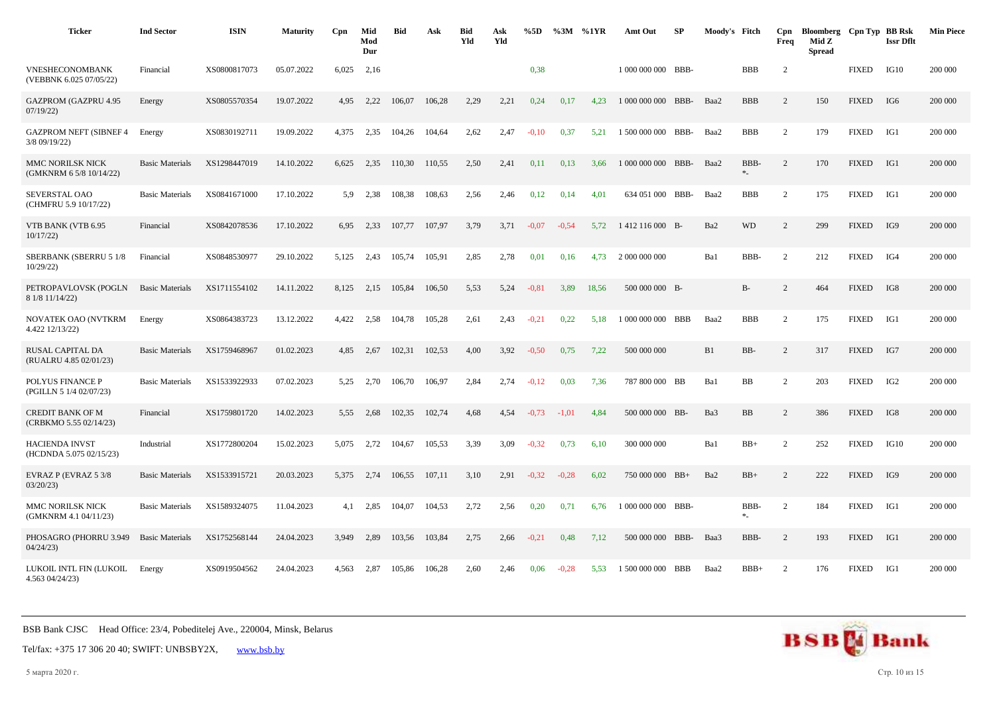| <b>Ticker</b>                                     | <b>Ind Sector</b>      | <b>ISIN</b>  | <b>Maturity</b> | Cpn   | Mid<br>Mod<br>Dur | <b>Bid</b> | Ask    | <b>Bid</b><br>Yld | Ask<br>Yld | %5D     | %3M     | %1YR  | Amt Out            | <b>SP</b> | Moody's Fitch |             | Cpn<br>Freq    | Bloomberg Cpn Typ BB Rsk<br>Mid Z<br><b>Spread</b> |              | <b>Issr Dflt</b> | <b>Min Piece</b> |
|---------------------------------------------------|------------------------|--------------|-----------------|-------|-------------------|------------|--------|-------------------|------------|---------|---------|-------|--------------------|-----------|---------------|-------------|----------------|----------------------------------------------------|--------------|------------------|------------------|
| <b>VNESHECONOMBANK</b><br>(VEBBNK 6.025 07/05/22) | Financial              | XS0800817073 | 05.07.2022      | 6,025 | 2,16              |            |        |                   |            | 0,38    |         |       | 1 000 000 000 BBB- |           |               | <b>BBB</b>  | 2              |                                                    | <b>FIXED</b> | IG10             | 200 000          |
| <b>GAZPROM (GAZPRU 4.95</b><br>07/19/22           | Energy                 | XS0805570354 | 19.07.2022      | 4,95  | 2,22              | 106,07     | 106,28 | 2.29              | 2,21       | 0,24    | 0.17    | 4.23  | 1 000 000 000      | BBB-      | Baa2          | <b>BBB</b>  | 2              | 150                                                | <b>FIXED</b> | IG6              | 200 000          |
| <b>GAZPROM NEFT (SIBNEF 4</b><br>3/8 09/19/22)    | Energy                 | XS0830192711 | 19.09.2022      | 4,375 | 2,35              | 104,26     | 104,64 | 2,62              | 2,47       | $-0,10$ | 0,37    | 5,21  | 1 500 000 000      | BBB-      | Baa2          | <b>BBB</b>  | 2              | 179                                                | <b>FIXED</b> | IG1              | 200 000          |
| MMC NORILSK NICK<br>(GMKNRM 6 5/8 10/14/22)       | <b>Basic Materials</b> | XS1298447019 | 14.10.2022      | 6.625 | 2,35              | 110.30     | 110,55 | 2,50              | 2,41       | 0,11    | 0,13    | 3.66  | 1 000 000 000 BBB- |           | Baa2          | BBB-<br>$*$ | 2              | 170                                                | <b>FIXED</b> | IG1              | 200 000          |
| SEVERSTAL OAO<br>(CHMFRU 5.9 10/17/22)            | <b>Basic Materials</b> | XS0841671000 | 17.10.2022      | 5.9   | 2,38              | 108,38     | 108,63 | 2,56              | 2,46       | 0,12    | 0,14    | 4,01  | 634 051 000 BBB-   |           | Baa2          | <b>BBB</b>  | $\overline{2}$ | 175                                                | <b>FIXED</b> | IG1              | 200 000          |
| VTB BANK (VTB 6.95<br>10/17/22                    | Financial              | XS0842078536 | 17.10.2022      | 6.95  | 2,33              | 107.77     | 107.97 | 3.79              | 3,71       | $-0.07$ | $-0.54$ | 5.72  | 1412 116 000 B-    |           | Ba2           | <b>WD</b>   | 2              | 299                                                | <b>FIXED</b> | IG9              | 200 000          |
| <b>SBERBANK (SBERRU 5 1/8</b><br>10/29/22         | Financial              | XS0848530977 | 29.10.2022      | 5,125 | 2,43              | 105,74     | 105,91 | 2,85              | 2,78       | 0,01    | 0,16    | 4,73  | 2 000 000 000      |           | Ba1           | BBB-        | 2              | 212                                                | <b>FIXED</b> | IG4              | 200 000          |
| PETROPAVLOVSK (POGLN<br>8 1/8 11/14/22)           | <b>Basic Materials</b> | XS1711554102 | 14.11.2022      | 8,125 | 2,15              | 105,84     | 106,50 | 5,53              | 5,24       | $-0.81$ | 3,89    | 18,56 | 500 000 000 B-     |           |               | $B-$        | $\overline{2}$ | 464                                                | <b>FIXED</b> | IG8              | 200 000          |
| NOVATEK OAO (NVTKRM<br>4.422 12/13/22)            | Energy                 | XS0864383723 | 13.12.2022      | 4,422 | 2,58              | 104,78     | 105,28 | 2,61              | 2,43       | $-0,21$ | 0,22    | 5,18  | 1 000 000 000 BBB  |           | Baa2          | <b>BBB</b>  | $\overline{c}$ | 175                                                | <b>FIXED</b> | IG1              | 200 000          |
| RUSAL CAPITAL DA<br>(RUALRU 4.85 02/01/23)        | <b>Basic Materials</b> | XS1759468967 | 01.02.2023      | 4,85  | 2,67              | 102,31     | 102,53 | 4,00              | 3,92       | $-0,50$ | 0,75    | 7,22  | 500 000 000        |           | B1            | BB-         | $\overline{c}$ | 317                                                | <b>FIXED</b> | IG7              | 200 000          |
| POLYUS FINANCE P<br>(PGILLN 5 1/4 02/07/23)       | <b>Basic Materials</b> | XS1533922933 | 07.02.2023      | 5.25  | 2.70              | 106.70     | 106.97 | 2.84              | 2.74       | $-0.12$ | 0,03    | 7.36  | 787 800 000 BB     |           | Ba1           | <b>BB</b>   | 2              | 203                                                | <b>FIXED</b> | IG <sub>2</sub>  | 200 000          |
| <b>CREDIT BANK OF M</b><br>(CRBKMO 5.55 02/14/23) | Financial              | XS1759801720 | 14.02.2023      | 5,55  | 2,68              | 102,35     | 102,74 | 4,68              | 4,54       | $-0,73$ | $-1,01$ | 4,84  | 500 000 000 BB-    |           | Ba3           | <b>BB</b>   | 2              | 386                                                | <b>FIXED</b> | IG8              | 200 000          |
| <b>HACIENDA INVST</b><br>(HCDNDA 5.075 02/15/23)  | Industrial             | XS1772800204 | 15.02.2023      | 5.075 | 2,72              | 104,67     | 105,53 | 3,39              | 3,09       | $-0,32$ | 0.73    | 6,10  | 300 000 000        |           | Ba1           | $BB+$       | 2              | 252                                                | <b>FIXED</b> | IG10             | 200 000          |
| EVRAZ P (EVRAZ 5 3/8<br>03/20/23                  | <b>Basic Materials</b> | XS1533915721 | 20.03.2023      | 5,375 | 2,74              | 106,55     | 107,11 | 3,10              | 2,91       | $-0,32$ | $-0,28$ | 6,02  | 750 000 000 BB+    |           | Ba2           | $BB+$       | $\overline{c}$ | 222                                                | <b>FIXED</b> | IG9              | 200 000          |
| <b>MMC NORILSK NICK</b><br>(GMKNRM 4.1 04/11/23)  | <b>Basic Materials</b> | XS1589324075 | 11.04.2023      | 4,1   | 2,85              | 104,07     | 104,53 | 2,72              | 2,56       | 0,20    | 0,71    | 6,76  | 1 000 000 000 BBB- |           |               | BBB-<br>*.  | 2              | 184                                                | <b>FIXED</b> | IG1              | 200 000          |
| PHOSAGRO (PHORRU 3.949<br>04/24/23                | <b>Basic Materials</b> | XS1752568144 | 24.04.2023      | 3,949 | 2,89              | 103,56     | 103,84 | 2,75              | 2,66       | $-0,21$ | 0,48    | 7,12  | 500 000 000 BBB-   |           | Baa3          | BBB-        | 2              | 193                                                | <b>FIXED</b> | IG1              | 200 000          |
| LUKOIL INTL FIN (LUKOIL<br>4.563 04/24/23)        | Energy                 | XS0919504562 | 24.04.2023      | 4.563 | 2,87              | 105.86     | 106,28 | 2.60              | 2.46       | 0.06    | $-0.28$ | 5.53  | 1 500 000 000 BBB  |           | Baa2          | $BBB+$      | 2              | 176                                                | <b>FIXED</b> | IG1              | 200 000          |

Tel/fax: +375 17 306 20 40; SWIFT: UNBSBY2X, [www.bsb.by](https://www.bsb.by/)

5 марта 2020 г. Стр. 10 из 15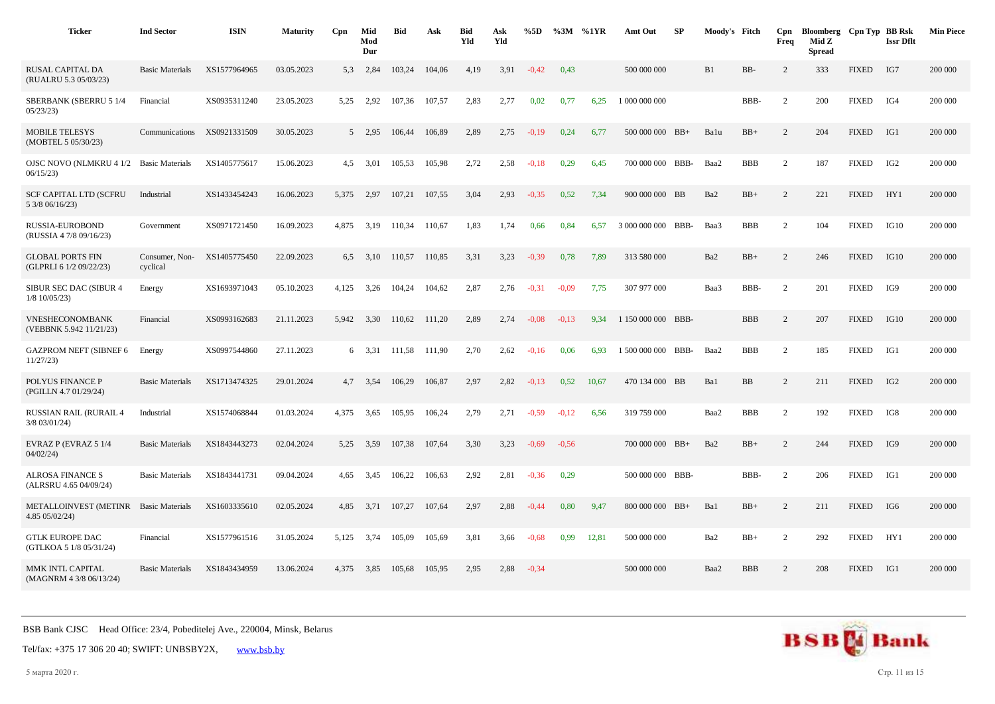| <b>Ticker</b>                                           | <b>Ind Sector</b>          | <b>ISIN</b>  | <b>Maturity</b> | Cpn   | Mid<br>Mod<br>Dur | <b>Bid</b> | Ask    | <b>Bid</b><br>Yld | Ask<br>Yld | %5D     |         | $%3M$ %1YR | Amt Out            | SP | Moody's Fitch   |            | Cpn<br>Freq    | Bloomberg Cpn Typ BB Rsk<br>Mid Z<br><b>Spread</b> |              | <b>Issr Dflt</b> | <b>Min Piece</b> |
|---------------------------------------------------------|----------------------------|--------------|-----------------|-------|-------------------|------------|--------|-------------------|------------|---------|---------|------------|--------------------|----|-----------------|------------|----------------|----------------------------------------------------|--------------|------------------|------------------|
| RUSAL CAPITAL DA<br>(RUALRU 5.3 05/03/23)               | <b>Basic Materials</b>     | XS1577964965 | 03.05.2023      | 5.3   | 2,84              | 103,24     | 104,06 | 4,19              | 3,91       | $-0,42$ | 0,43    |            | 500 000 000        |    | B1              | BB-        | 2              | 333                                                | <b>FIXED</b> | IG7              | 200 000          |
| SBERBANK (SBERRU 5 1/4<br>05/23/23                      | Financial                  | XS0935311240 | 23.05.2023      | 5,25  | 2,92              | 107,36     | 107,57 | 2,83              | 2,77       | 0,02    | 0,77    | 6,25       | 1 000 000 000      |    |                 | BBB-       | $\overline{c}$ | 200                                                | <b>FIXED</b> | IG4              | 200 000          |
| <b>MOBILE TELESYS</b><br>(MOBTEL 5 05/30/23)            | Communications             | XS0921331509 | 30.05.2023      |       | 5 2,95            | 106,44     | 106,89 | 2,89              | 2,75       | $-0.19$ | 0,24    | 6,77       | 500 000 000 BB+    |    | Balu            | $BB+$      | 2              | 204                                                | <b>FIXED</b> | IG1              | 200 000          |
| OJSC NOVO (NLMKRU 4 1/2 Basic Materials<br>06/15/23     |                            | XS1405775617 | 15.06.2023      | 4,5   | 3,01              | 105,53     | 105,98 | 2,72              | 2,58       | $-0.18$ | 0,29    | 6,45       | 700 000 000 BBB-   |    | Baa2            | <b>BBB</b> | $\overline{c}$ | 187                                                | <b>FIXED</b> | IG <sub>2</sub>  | 200 000          |
| <b>SCF CAPITAL LTD (SCFRU</b><br>5 3/8 06/16/23)        | Industrial                 | XS1433454243 | 16.06.2023      | 5.375 | 2,97              | 107,21     | 107,55 | 3.04              | 2,93       | $-0.35$ | 0,52    | 7,34       | 900 000 000 BB     |    | Ba2             | $BB+$      | 2              | 221                                                | <b>FIXED</b> | HY1              | 200 000          |
| RUSSIA-EUROBOND<br>(RUSSIA 4 7/8 09/16/23)              | Government                 | XS0971721450 | 16.09.2023      | 4,875 | 3,19              | 110,34     | 110,67 | 1,83              | 1,74       | 0,66    | 0,84    | 6,57       | 3 000 000 000 BBB- |    | Baa3            | <b>BBB</b> | 2              | 104                                                | <b>FIXED</b> | IG10             | 200 000          |
| <b>GLOBAL PORTS FIN</b><br>(GLPRLI 6 1/2 09/22/23)      | Consumer, Non-<br>cyclical | XS1405775450 | 22.09.2023      | 6.5   | 3,10              | 110.57     | 110.85 | 3,31              | 3,23       | $-0.39$ | 0.78    | 7,89       | 313 580 000        |    | Ba2             | $BB+$      | 2              | 246                                                | <b>FIXED</b> | IG10             | 200 000          |
| SIBUR SEC DAC (SIBUR 4<br>$1/8$ 10/05/23)               | Energy                     | XS1693971043 | 05.10.2023      | 4,125 | 3,26              | 104,24     | 104,62 | 2,87              | 2,76       | $-0.31$ | $-0.09$ | 7,75       | 307 977 000        |    | Baa3            | BBB-       | 2              | 201                                                | <b>FIXED</b> | IG9              | 200 000          |
| VNESHECONOMBANK<br>(VEBBNK 5.942 11/21/23)              | Financial                  | XS0993162683 | 21.11.2023      | 5,942 | 3,30              | 110,62     | 111,20 | 2,89              | 2,74       | $-0.08$ | $-0,13$ | 9,34       | 1 150 000 000 BBB- |    |                 | <b>BBB</b> | 2              | 207                                                | <b>FIXED</b> | IG10             | 200 000          |
| <b>GAZPROM NEFT (SIBNEF 6</b><br>11/27/23               | Energy                     | XS0997544860 | 27.11.2023      |       | 6 3,31            | 111,58     | 111,90 | 2,70              | 2,62       | $-0,16$ | 0,06    | 6,93       | 1 500 000 000 BBB- |    | Baa2            | <b>BBB</b> | 2              | 185                                                | <b>FIXED</b> | IG1              | 200 000          |
| POLYUS FINANCE P<br>(PGILLN 4.7 01/29/24)               | <b>Basic Materials</b>     | XS1713474325 | 29.01.2024      | 4,7   | 3,54              | 106,29     | 106,87 | 2,97              | 2,82       | $-0.13$ | 0.52    | 10,67      | 470 134 000 BB     |    | Ba1             | BB         | 2              | 211                                                | <b>FIXED</b> | IG <sub>2</sub>  | 200 000          |
| <b>RUSSIAN RAIL (RURAIL 4</b><br>$3/8$ 03/01/24)        | Industrial                 | XS1574068844 | 01.03.2024      | 4.375 | 3,65              | 105,95     | 106,24 | 2,79              | 2,71       | $-0.59$ | $-0.12$ | 6,56       | 319 759 000        |    | Baa2            | <b>BBB</b> | 2              | 192                                                | <b>FIXED</b> | IG8              | 200 000          |
| EVRAZ P (EVRAZ 5 1/4<br>04/02/24                        | <b>Basic Materials</b>     | XS1843443273 | 02.04.2024      | 5,25  | 3,59              | 107,38     | 107,64 | 3,30              | 3,23       | $-0.69$ | $-0,56$ |            | 700 000 000 BB+    |    | Ba2             | $BB+$      | 2              | 244                                                | <b>FIXED</b> | IG9              | 200 000          |
| <b>ALROSA FINANCE S</b><br>(ALRSRU 4.65 04/09/24)       | <b>Basic Materials</b>     | XS1843441731 | 09.04.2024      | 4,65  | 3,45              | 106,22     | 106,63 | 2,92              | 2,81       | $-0.36$ | 0,29    |            | 500 000 000 BBB-   |    |                 | BBB-       | 2              | 206                                                | <b>FIXED</b> | IG1              | 200 000          |
| METALLOINVEST (METINR Basic Materials<br>4.85 05/02/24) |                            | XS1603335610 | 02.05.2024      | 4,85  | 3,71              | 107,27     | 107,64 | 2,97              | 2,88       | $-0,44$ | 0,80    | 9,47       | 800 000 000 BB+    |    | Ba1             | $BB+$      | 2              | 211                                                | <b>FIXED</b> | IG6              | 200 000          |
| <b>GTLK EUROPE DAC</b><br>(GTLKOA 5 1/8 05/31/24)       | Financial                  | XS1577961516 | 31.05.2024      | 5,125 | 3,74              | 105,09     | 105,69 | 3,81              | 3,66       | $-0.68$ | 0.99    | 12,81      | 500 000 000        |    | Ba <sub>2</sub> | $BB+$      | 2              | 292                                                | <b>FIXED</b> | HY1              | 200 000          |
| MMK INTL CAPITAL<br>(MAGNRM 4 3/8 06/13/24)             | <b>Basic Materials</b>     | XS1843434959 | 13.06.2024      | 4,375 | 3,85              | 105,68     | 105,95 | 2,95              | 2,88       | $-0,34$ |         |            | 500 000 000        |    | Baa2            | <b>BBB</b> | 2              | 208                                                | <b>FIXED</b> | IG1              | 200 000          |

5 марта 2020 г. Стр. 11 из 15

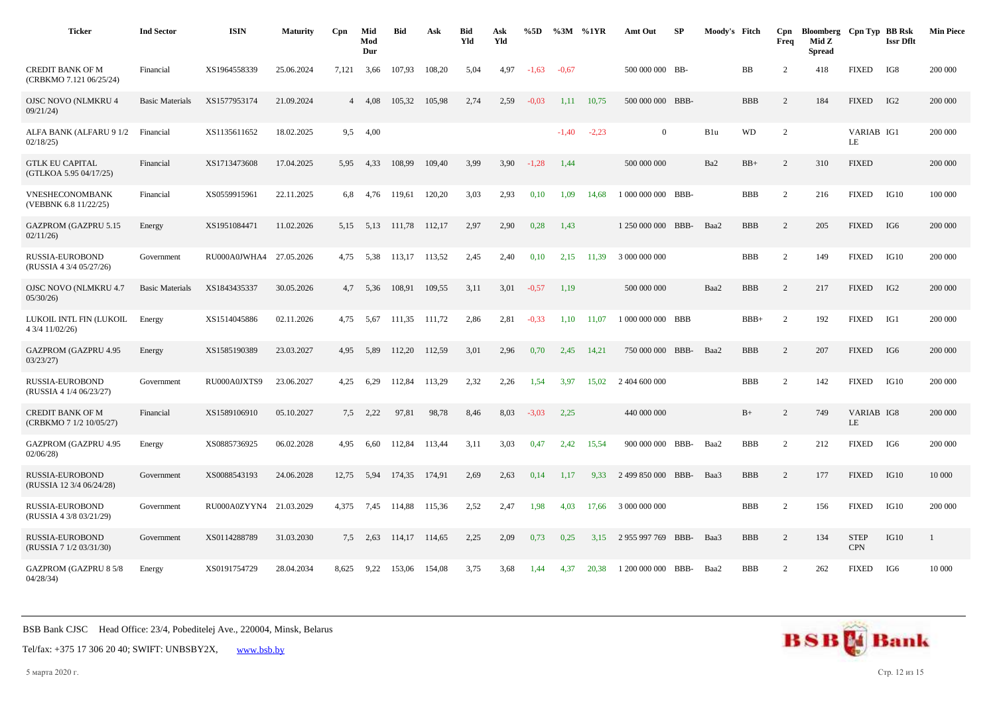| <b>Ticker</b>                                      | <b>Ind Sector</b>      | <b>ISIN</b>             | <b>Maturity</b> | Cpn   | Mid<br>Mod<br>Dur | <b>Bid</b> | Ask    | <b>Bid</b><br>Yld | Ask<br>Yld | %5D     | %3M     | %1YR    | Amt Out            | SP   | Moody's Fitch |            | Cpn<br>Freq    | Bloomberg Cpn Typ BB Rsk<br>Mid Z<br><b>Spread</b> |                           | <b>Issr Dflt</b> | <b>Min Piece</b> |
|----------------------------------------------------|------------------------|-------------------------|-----------------|-------|-------------------|------------|--------|-------------------|------------|---------|---------|---------|--------------------|------|---------------|------------|----------------|----------------------------------------------------|---------------------------|------------------|------------------|
| <b>CREDIT BANK OF M</b><br>(CRBKMO 7.121 06/25/24) | Financial              | XS1964558339            | 25.06.2024      | 7,121 | 3,66              | 107,93     | 108,20 | 5,04              | 4,97       | $-1,63$ | $-0,67$ |         | 500 000 000 BB-    |      |               | BB         | 2              | 418                                                | <b>FIXED</b>              | IG8              | 200 000          |
| <b>OJSC NOVO (NLMKRU 4</b><br>09/21/24             | <b>Basic Materials</b> | XS1577953174            | 21.09.2024      |       | 4 4.08            | 105,32     | 105,98 | 2,74              | 2,59       | $-0.03$ | 1,11    | 10,75   | 500 000 000 BBB-   |      |               | <b>BBB</b> | 2              | 184                                                | <b>FIXED</b>              | IG <sub>2</sub>  | 200 000          |
| ALFA BANK (ALFARU 9 1/2<br>02/18/25                | Financial              | XS1135611652            | 18.02.2025      | 9,5   | 4,00              |            |        |                   |            |         | $-1,40$ | $-2,23$ | $\overline{0}$     |      | B1u           | <b>WD</b>  | $\overline{2}$ |                                                    | VARIAB IG1<br>LE          |                  | 200 000          |
| <b>GTLK EU CAPITAL</b><br>(GTLKOA 5.95 04/17/25)   | Financial              | XS1713473608            | 17.04.2025      | 5,95  | 4,33              | 108,99     | 109,40 | 3,99              | 3,90       | $-1,28$ | 1,44    |         | 500 000 000        |      | Ba2           | $BB+$      | 2              | 310                                                | <b>FIXED</b>              |                  | 200 000          |
| VNESHECONOMBANK<br>(VEBBNK 6.8 11/22/25)           | Financial              | XS0559915961            | 22.11.2025      | 6,8   | 4,76              | 119,61     | 120,20 | 3,03              | 2,93       | 0,10    | 1.09    | 14.68   | 1 000 000 000 BBB- |      |               | <b>BBB</b> | 2              | 216                                                | <b>FIXED</b>              | IG10             | 100 000          |
| <b>GAZPROM (GAZPRU 5.15</b><br>02/11/26            | Energy                 | XS1951084471            | 11.02.2026      | 5,15  | 5,13              | 111,78     | 112,17 | 2,97              | 2,90       | 0,28    | 1,43    |         | 1 250 000 000      | BBB- | Baa2          | <b>BBB</b> | 2              | 205                                                | <b>FIXED</b>              | IG6              | 200 000          |
| RUSSIA-EUROBOND<br>(RUSSIA 4 3/4 05/27/26)         | Government             | RU000A0JWHA4 27.05.2026 |                 | 4,75  | 5,38              | 113,17     | 113,52 | 2,45              | 2,40       | 0,10    | 2,15    | 11,39   | 3 000 000 000      |      |               | <b>BBB</b> | 2              | 149                                                | <b>FIXED</b>              | IG10             | 200 000          |
| OJSC NOVO (NLMKRU 4.7<br>05/30/26                  | <b>Basic Materials</b> | XS1843435337            | 30.05.2026      |       | 4,7 5,36          | 108,91     | 109,55 | 3,11              | 3,01       | $-0,57$ | 1,19    |         | 500 000 000        |      | Baa2          | <b>BBB</b> | 2              | 217                                                | <b>FIXED</b>              | IG <sub>2</sub>  | 200 000          |
| LUKOIL INTL FIN (LUKOIL<br>4 3/4 11/02/26)         | Energy                 | XS1514045886            | 02.11.2026      | 4,75  | 5,67              | 111,35     | 111,72 | 2,86              | 2,81       | $-0,33$ | 1,10    | 11,07   | 1 000 000 000 BBB  |      |               | $BBB+$     | 2              | 192                                                | <b>FIXED</b>              | IG1              | 200 000          |
| <b>GAZPROM (GAZPRU 4.95</b><br>03/23/27            | Energy                 | XS1585190389            | 23.03.2027      | 4.95  | 5.89              | 112.20     | 112.59 | 3,01              | 2,96       | 0,70    | 2,45    | 14.21   | 750 000 000        | BBB- | Baa2          | <b>BBB</b> | 2              | 207                                                | <b>FIXED</b>              | IG <sub>6</sub>  | 200 000          |
| RUSSIA-EUROBOND<br>(RUSSIA 4 1/4 06/23/27)         | Government             | RU000A0JXTS9            | 23.06.2027      | 4,25  | 6,29              | 112,84     | 113,29 | 2,32              | 2,26       | 1,54    | 3,97    | 15.02   | 2 404 600 000      |      |               | <b>BBB</b> | 2              | 142                                                | <b>FIXED</b>              | IG10             | 200 000          |
| <b>CREDIT BANK OF M</b><br>(CRBKMO 7 1/2 10/05/27) | Financial              | XS1589106910            | 05.10.2027      | 7,5   | 2,22              | 97,81      | 98,78  | 8,46              | 8,03       | $-3,03$ | 2,25    |         | 440 000 000        |      |               | $B+$       | 2              | 749                                                | VARIAB IG8<br>LE          |                  | 200 000          |
| <b>GAZPROM (GAZPRU 4.95</b><br>02/06/28            | Energy                 | XS0885736925            | 06.02.2028      | 4,95  | 6,60              | 112,84     | 113,44 | 3,11              | 3,03       | 0,47    | 2,42    | 15,54   | 900 000 000        | BBB- | Baa2          | <b>BBB</b> | $\overline{2}$ | 212                                                | <b>FIXED</b>              | IG6              | 200 000          |
| RUSSIA-EUROBOND<br>(RUSSIA 12 3/4 06/24/28)        | Government             | XS0088543193            | 24.06.2028      | 12,75 | 5,94              | 174,35     | 174,91 | 2,69              | 2,63       | 0,14    | 1,17    | 9,33    | 2 499 850 000 BBB- |      | Baa3          | <b>BBB</b> | 2              | 177                                                | <b>FIXED</b>              | IG10             | 10 000           |
| <b>RUSSIA-EUROBOND</b><br>(RUSSIA 4 3/8 03/21/29)  | Government             | RU000A0ZYYN4 21.03.2029 |                 | 4.375 | 7,45              | 114.88     | 115.36 | 2,52              | 2,47       | 1,98    | 4,03    | 17.66   | 3 000 000 000      |      |               | <b>BBB</b> | 2              | 156                                                | <b>FIXED</b>              | IG10             | 200 000          |
| RUSSIA-EUROBOND<br>(RUSSIA 7 1/2 03/31/30)         | Government             | XS0114288789            | 31.03.2030      | 7,5   | 2,63              | 114,17     | 114,65 | 2,25              | 2,09       | 0,73    | 0,25    | 3,15    | 2 955 997 769      | BBB- | Baa3          | <b>BBB</b> | 2              | 134                                                | <b>STEP</b><br><b>CPN</b> | IG10             |                  |
| <b>GAZPROM (GAZPRU 8 5/8</b><br>04/28/34           | Energy                 | XS0191754729            | 28.04.2034      | 8.625 | 9,22              | 153,06     | 154,08 | 3,75              | 3,68       | 1,44    | 4.37    | 20.38   | 1 200 000 000      | BBB- | Baa2          | <b>BBB</b> | 2              | 262                                                | <b>FIXED</b>              | IG6              | 10 000           |

Tel/fax: +375 17 306 20 40; SWIFT: UNBSBY2X, [www.bsb.by](https://www.bsb.by/)

5 марта 2020 г. Стр. 12 из 15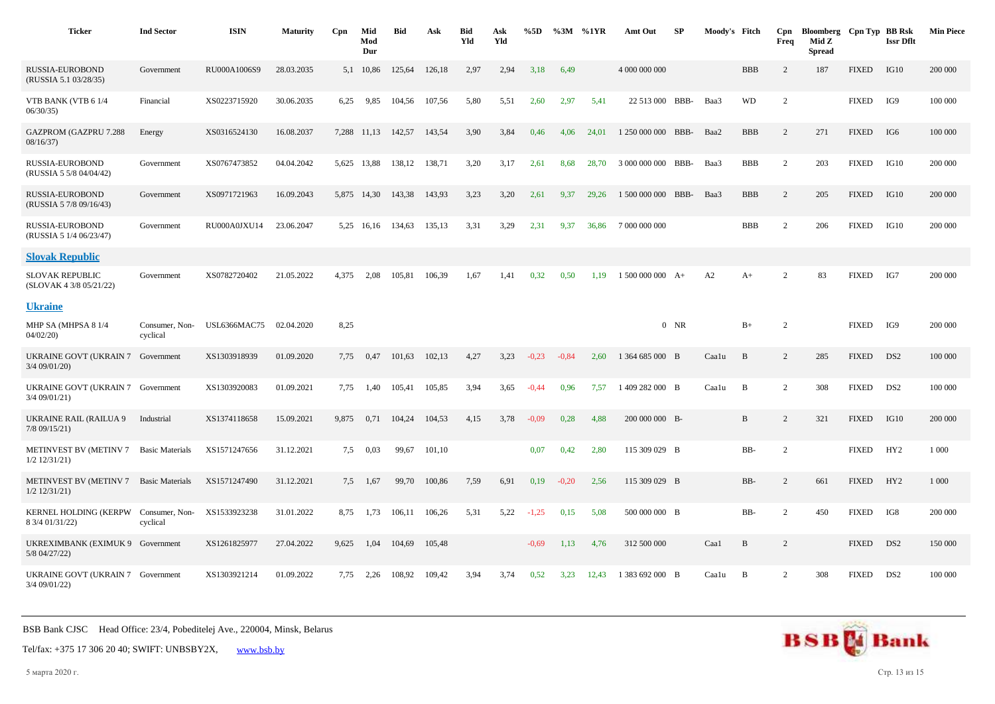| <b>Ticker</b>                                             | <b>Ind Sector</b>          | <b>ISIN</b>  | <b>Maturity</b> | Cpn   | Mid<br>Mod<br>Dur | <b>Bid</b> | Ask    | <b>Bid</b><br>Yld | Ask<br>Yld | %5D     | $\%3M$ %1YR |       | Amt Out            | SP     | Moody's Fitch |            | Cpn<br>Freq    | Bloomberg Cpn Typ BB Rsk<br>Mid Z<br><b>Spread</b> |              | <b>Issr Dflt</b> | <b>Min Piece</b> |
|-----------------------------------------------------------|----------------------------|--------------|-----------------|-------|-------------------|------------|--------|-------------------|------------|---------|-------------|-------|--------------------|--------|---------------|------------|----------------|----------------------------------------------------|--------------|------------------|------------------|
| RUSSIA-EUROBOND<br>(RUSSIA 5.1 03/28/35)                  | Government                 | RU000A1006S9 | 28.03.2035      | 5,1   | 10,86             | 125,64     | 126,18 | 2,97              | 2,94       | 3,18    | 6,49        |       | 4 000 000 000      |        |               | <b>BBB</b> | 2              | 187                                                | <b>FIXED</b> | IG10             | 200 000          |
| VTB BANK (VTB 6 1/4<br>06/30/35                           | Financial                  | XS0223715920 | 30.06.2035      | 6,25  | 9,85              | 104,56     | 107,56 | 5,80              | 5,51       | 2,60    | 2,97        | 5,41  | 22 513 000         | BBB-   | Baa3          | <b>WD</b>  | 2              |                                                    | <b>FIXED</b> | IG9              | 100 000          |
| <b>GAZPROM (GAZPRU 7.288</b><br>08/16/37                  | Energy                     | XS0316524130 | 16.08.2037      |       | 7,288 11,13       | 142,57     | 143,54 | 3,90              | 3,84       | 0,46    | 4,06        | 24,01 | 1 250 000 000      | BBB-   | Baa2          | <b>BBB</b> | 2              | 271                                                | <b>FIXED</b> | IG6              | 100 000          |
| RUSSIA-EUROBOND<br>(RUSSIA 5 5/8 04/04/42)                | Government                 | XS0767473852 | 04.04.2042      |       | 5,625 13,88       | 138,12     | 138,71 | 3,20              | 3,17       | 2,61    | 8,68        | 28,70 | 3 000 000 000 BBB- |        | Baa3          | <b>BBB</b> | $\overline{2}$ | 203                                                | <b>FIXED</b> | IG10             | 200 000          |
| RUSSIA-EUROBOND<br>(RUSSIA 5 7/8 09/16/43)                | Government                 | XS0971721963 | 16.09.2043      |       | 5,875 14,30       | 143,38     | 143,93 | 3,23              | 3,20       | 2,61    | 9,37        | 29,26 | 1 500 000 000 BBB- |        | Baa3          | <b>BBB</b> | $\overline{2}$ | 205                                                | <b>FIXED</b> | IG10             | 200 000          |
| RUSSIA-EUROBOND<br>(RUSSIA 5 1/4 06/23/47)                | Government                 | RU000A0JXU14 | 23.06.2047      |       | 5,25 16,16        | 134,63     | 135,13 | 3,31              | 3,29       | 2,31    | 9,37        | 36,86 | 7 000 000 000      |        |               | <b>BBB</b> | 2              | 206                                                | <b>FIXED</b> | IG10             | 200 000          |
| <b>Slovak Republic</b>                                    |                            |              |                 |       |                   |            |        |                   |            |         |             |       |                    |        |               |            |                |                                                    |              |                  |                  |
| <b>SLOVAK REPUBLIC</b><br>(SLOVAK 4 3/8 05/21/22)         | Government                 | XS0782720402 | 21.05.2022      | 4,375 | 2,08              | 105,81     | 106,39 | 1,67              | 1,41       | 0,32    | 0,50        | 1,19  | $1500000000A+$     |        | A2            | $A+$       | $\overline{c}$ | 83                                                 | <b>FIXED</b> | IG7              | 200 000          |
| <b>Ukraine</b>                                            |                            |              |                 |       |                   |            |        |                   |            |         |             |       |                    |        |               |            |                |                                                    |              |                  |                  |
| MHP SA (MHPSA 8 1/4<br>04/02/20                           | Consumer, Non-<br>cyclical | USL6366MAC75 | 02.04.2020      | 8,25  |                   |            |        |                   |            |         |             |       |                    | $0$ NR |               | $B+$       | $\overline{c}$ |                                                    | <b>FIXED</b> | IG9              | 200 000          |
| UKRAINE GOVT (UKRAIN 7 Government<br>$3/4$ 09/01/20)      |                            | XS1303918939 | 01.09.2020      | 7,75  | 0,47              | 101,63     | 102,13 | 4,27              | 3,23       | $-0,23$ | $-0.84$     | 2,60  | 1 364 685 000 B    |        | Caalu         | B          | $\overline{c}$ | 285                                                | <b>FIXED</b> | DS <sub>2</sub>  | 100 000          |
| UKRAINE GOVT (UKRAIN 7 Government<br>$3/4$ 09/01/21)      |                            | XS1303920083 | 01.09.2021      | 7,75  | 1,40              | 105,41     | 105,85 | 3,94              | 3,65       | $-0,44$ | 0,96        | 7,57  | 1409 282 000 B     |        | Caalu         | B          | 2              | 308                                                | <b>FIXED</b> | DS <sub>2</sub>  | 100 000          |
| <b>UKRAINE RAIL (RAILUA 9</b><br>$7/8$ 09/15/21)          | Industrial                 | XS1374118658 | 15.09.2021      | 9,875 | 0,71              | 104,24     | 104,53 | 4,15              | 3,78       | $-0,09$ | 0,28        | 4,88  | 200 000 000 B-     |        |               | B          | $\overline{2}$ | 321                                                | <b>FIXED</b> | IG10             | 200 000          |
| METINVEST BV (METINV 7<br>$1/2$ $12/31/21$                | <b>Basic Materials</b>     | XS1571247656 | 31.12.2021      | 7,5   | 0,03              | 99,67      | 101,10 |                   |            | 0,07    | 0,42        | 2,80  | 115 309 029 B      |        |               | BB-        | $\overline{2}$ |                                                    | <b>FIXED</b> | HY <sub>2</sub>  | 1 0 0 0          |
| METINVEST BV (METINV 7 Basic Materials<br>$1/2$ 12/31/21) |                            | XS1571247490 | 31.12.2021      | 7,5   | 1,67              | 99,70      | 100,86 | 7,59              | 6,91       | 0,19    | $-0,20$     | 2,56  | 115 309 029 B      |        |               | BB-        | 2              | 661                                                | <b>FIXED</b> | HY <sub>2</sub>  | 1 0 0 0          |
| <b>KERNEL HOLDING (KERPW</b><br>8 3/4 01/31/22)           | Consumer, Non-<br>cyclical | XS1533923238 | 31.01.2022      | 8,75  | 1,73              | 106,11     | 106,26 | 5,31              | 5,22       | $-1,25$ | 0,15        | 5,08  | 500 000 000 B      |        |               | BB-        | $\overline{c}$ | 450                                                | <b>FIXED</b> | IG8              | 200 000          |
| UKREXIMBANK (EXIMUK 9 Government<br>5/8 04/27/22)         |                            | XS1261825977 | 27.04.2022      | 9,625 | 1,04              | 104,69     | 105,48 |                   |            | $-0.69$ | 1,13        | 4,76  | 312 500 000        |        | Caa1          | B          | $\overline{2}$ |                                                    | <b>FIXED</b> | DS <sub>2</sub>  | 150 000          |
| UKRAINE GOVT (UKRAIN 7 Government<br>3/4 09/01/22)        |                            | XS1303921214 | 01.09.2022      | 7,75  | 2,26              | 108,92     | 109,42 | 3,94              | 3,74       | 0,52    | 3,23        | 12,43 | 1 383 692 000 B    |        | Caalu         | B          | 2              | 308                                                | <b>FIXED</b> | DS <sub>2</sub>  | 100 000          |

Tel/fax: +375 17 306 20 40; SWIFT: UNBSBY2X, [www.bsb.by](https://www.bsb.by/)

5 марта 2020 г. Стр. 13 из 15

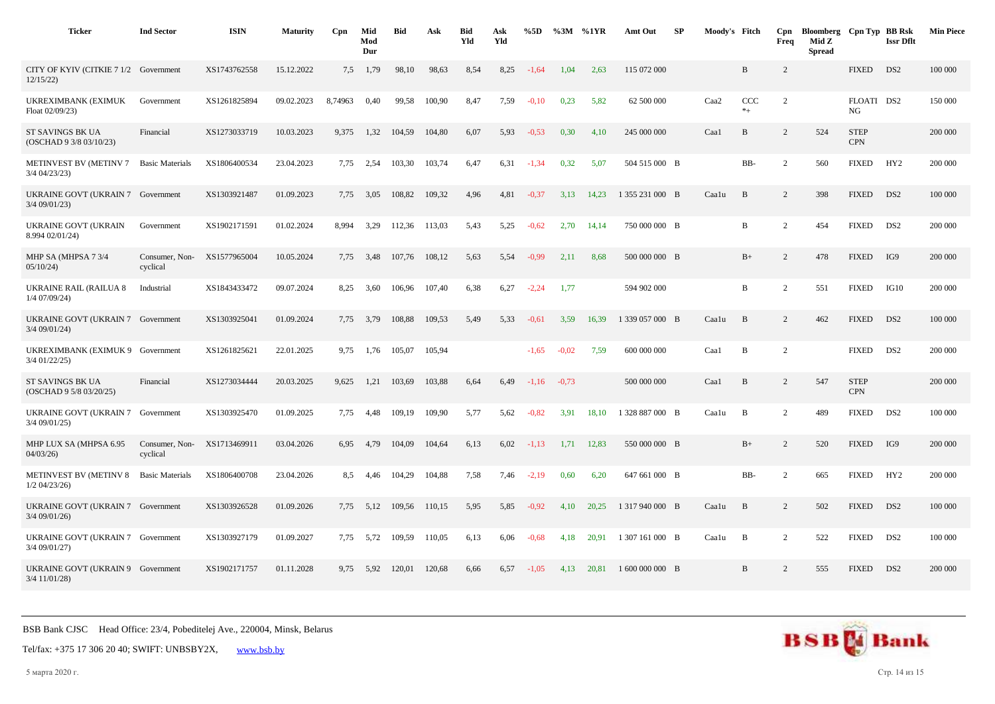| <b>Ticker</b>                                        | <b>Ind Sector</b>          | <b>ISIN</b>  | <b>Maturity</b> | C <sub>pn</sub> | Mid<br>Mod<br>Dur | <b>Bid</b> | Ask    | <b>Bid</b><br>Yld | Ask<br>Yld | %5D     |         | $\%3M$ %1YR | Amt Out         | -SP | Moody's Fitch |                | Cpn<br>Freq    | Bloomberg Cpn Typ BB Rsk<br>Mid Z<br><b>Spread</b> |                           | <b>Issr Dflt</b> | <b>Min Piece</b> |
|------------------------------------------------------|----------------------------|--------------|-----------------|-----------------|-------------------|------------|--------|-------------------|------------|---------|---------|-------------|-----------------|-----|---------------|----------------|----------------|----------------------------------------------------|---------------------------|------------------|------------------|
| CITY OF KYIV (CITKIE 7 1/2 Government<br>12/15/22    |                            | XS1743762558 | 15.12.2022      | 7,5             | 1,79              | 98,10      | 98,63  | 8.54              | 8,25       | $-1.64$ | 1.04    | 2.63        | 115 072 000     |     |               | B              | 2              |                                                    | <b>FIXED</b>              | DS <sub>2</sub>  | 100 000          |
| UKREXIMBANK (EXIMUK<br>Float 02/09/23)               | Government                 | XS1261825894 | 09.02.2023      | 8,74963         | 0,40              | 99,58      | 100,90 | 8,47              | 7,59       | $-0.10$ | 0,23    | 5,82        | 62 500 000      |     | Caa2          | CCC<br>$*_{+}$ | 2              |                                                    | FLOATI DS2<br>NG          |                  | 150 000          |
| ST SAVINGS BK UA<br>(OSCHAD 9 3/8 03/10/23)          | Financial                  | XS1273033719 | 10.03.2023      | 9,375           | 1,32              | 104,59     | 104,80 | 6,07              | 5,93       | $-0,53$ | 0,30    | 4,10        | 245 000 000     |     | Caa1          | $\, {\bf B}$   | 2              | 524                                                | <b>STEP</b><br><b>CPN</b> |                  | 200 000          |
| METINVEST BV (METINV 7<br>3/4 04/23/23)              | <b>Basic Materials</b>     | XS1806400534 | 23.04.2023      | 7,75            | 2,54              | 103,30     | 103,74 | 6,47              | 6,31       | $-1,34$ | 0,32    | 5.07        | 504 515 000 B   |     |               | BB-            | 2              | 560                                                | <b>FIXED</b>              | HY <sub>2</sub>  | 200 000          |
| <b>UKRAINE GOVT (UKRAIN 7</b><br>$3/4$ 09/01/23)     | Government                 | XS1303921487 | 01.09.2023      | 7,75            | 3,05              | 108,82     | 109,32 | 4,96              | 4,81       | $-0,37$ | 3,13    | 14.23       | 1 355 231 000 B |     | Caalu         | B              | 2              | 398                                                | <b>FIXED</b>              | DS <sub>2</sub>  | 100 000          |
| UKRAINE GOVT (UKRAIN<br>8.994 02/01/24)              | Government                 | XS1902171591 | 01.02.2024      | 8.994           | 3,29              | 112,36     | 113,03 | 5,43              | 5,25       | $-0,62$ | 2,70    | 14,14       | 750 000 000 B   |     |               | B              | 2              | 454                                                | <b>FIXED</b>              | DS <sub>2</sub>  | 200 000          |
| MHP SA (MHPSA 7 3/4<br>05/10/24                      | Consumer, Non-<br>cyclical | XS1577965004 | 10.05.2024      | 7.75            | 3,48              | 107.76     | 108,12 | 5.63              | 5.54       | $-0.99$ | 2,11    | 8.68        | 500 000 000 B   |     |               | $B+$           | 2              | 478                                                | <b>FIXED</b>              | IG9              | 200 000          |
| <b>UKRAINE RAIL (RAILUA 8</b><br>$1/4$ 07/09/24)     | Industrial                 | XS1843433472 | 09.07.2024      | 8,25            | 3,60              | 106,96     | 107,40 | 6,38              | 6,27       | $-2,24$ | 1,77    |             | 594 902 000     |     |               | B              | $\overline{2}$ | 551                                                | <b>FIXED</b>              | IG10             | 200 000          |
| UKRAINE GOVT (UKRAIN 7 Government<br>$3/4$ 09/01/24) |                            | XS1303925041 | 01.09.2024      | 7,75            | 3,79              | 108,88     | 109,53 | 5,49              | 5,33       | $-0,61$ | 3,59    | 16,39       | 1 339 057 000 B |     | Caalu         | B              | 2              | 462                                                | <b>FIXED</b>              | DS <sub>2</sub>  | 100 000          |
| UKREXIMBANK (EXIMUK 9 Government<br>$3/4$ 01/22/25)  |                            | XS1261825621 | 22.01.2025      | 9.75            | 1,76              | 105.07     | 105.94 |                   |            | $-1.65$ | $-0.02$ | 7,59        | 600 000 000     |     | Caal          | $\, {\bf B}$   | 2              |                                                    | <b>FIXED</b>              | DS <sub>2</sub>  | 200 000          |
| ST SAVINGS BK UA<br>(OSCHAD 9 5/8 03/20/25)          | Financial                  | XS1273034444 | 20.03.2025      | 9,625           | 1,21              | 103,69     | 103,88 | 6,64              | 6,49       | $-1,16$ | $-0.73$ |             | 500 000 000     |     | Caa1          | B              | 2              | 547                                                | <b>STEP</b><br><b>CPN</b> |                  | 200 000          |
| <b>UKRAINE GOVT (UKRAIN 7</b><br>$3/4$ 09/01/25)     | Government                 | XS1303925470 | 01.09.2025      | 7,75            | 4,48              | 109,19     | 109,90 | 5,77              | 5,62       | $-0.82$ | 3,91    | 18,10       | 1 328 887 000 B |     | Caalu         | B              | 2              | 489                                                | <b>FIXED</b>              | DS <sub>2</sub>  | 100 000          |
| MHP LUX SA (MHPSA 6.95<br>04/03/26                   | Consumer, Non-<br>cyclical | XS1713469911 | 03.04.2026      | 6.95            | 4,79              | 104.09     | 104,64 | 6,13              | 6,02       | $-1,13$ | 1,71    | 12.83       | 550 000 000 B   |     |               | $B+$           | 2              | 520                                                | <b>FIXED</b>              | IG9              | 200 000          |
| <b>METINVEST BV (METINV 8)</b><br>$1/2$ 04/23/26)    | <b>Basic Materials</b>     | XS1806400708 | 23.04.2026      | 8,5             | 4,46              | 104,29     | 104,88 | 7,58              | 7,46       | $-2,19$ | 0,60    | 6,20        | 647 661 000 B   |     |               | BB-            | 2              | 665                                                | <b>FIXED</b>              | HY <sub>2</sub>  | 200 000          |
| UKRAINE GOVT (UKRAIN 7 Government<br>$3/4$ 09/01/26) |                            | XS1303926528 | 01.09.2026      | 7,75            | 5,12              | 109,56     | 110,15 | 5,95              | 5,85       | $-0.92$ | 4,10    | 20,25       | 1 317 940 000 B |     | Caalu         | B              | 2              | 502                                                | <b>FIXED</b>              | DS <sub>2</sub>  | 100 000          |
| UKRAINE GOVT (UKRAIN 7 Government<br>3/4 09/01/27)   |                            | XS1303927179 | 01.09.2027      | 7,75            | 5,72              | 109,59     | 110,05 | 6,13              | 6,06       | $-0.68$ | 4.18    | 20.91       | 1 307 161 000 B |     | Caalu         | B              | 2              | 522                                                | <b>FIXED</b>              | DS <sub>2</sub>  | 100 000          |
| UKRAINE GOVT (UKRAIN 9 Government<br>$3/4$ 11/01/28) |                            | XS1902171757 | 01.11.2028      | 9,75            | 5,92              | 120,01     | 120,68 | 6,66              | 6,57       | $-1,05$ | 4,13    | 20,81       | 1 600 000 000 B |     |               | B              | 2              | 555                                                | <b>FIXED</b>              | DS <sub>2</sub>  | 200 000          |



5 марта 2020 г. Стр. 14 из 15